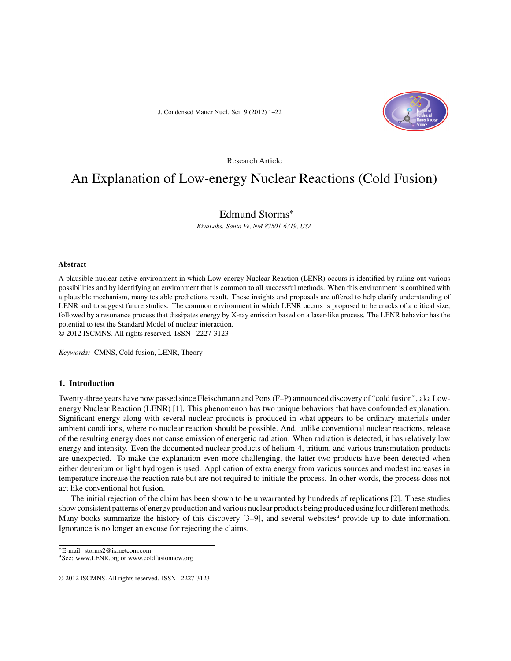J. Condensed Matter Nucl. Sci. 9 (2012) 1–22



#### Research Article

# An Explanation of Low-energy Nuclear Reactions (Cold Fusion)

# Edmund Storms∗

*KivaLabs. Santa Fe, NM 87501-6319, USA*

#### **Abstract**

A plausible nuclear-active-environment in which Low-energy Nuclear Reaction (LENR) occurs is identified by ruling out various possibilities and by identifying an environment that is common to all successful methods. When this environment is combined with a plausible mechanism, many testable predictions result. These insights and proposals are offered to help clarify understanding of LENR and to suggest future studies. The common environment in which LENR occurs is proposed to be cracks of a critical size, followed by a resonance process that dissipates energy by X-ray emission based on a laser-like process. The LENR behavior has the potential to test the Standard Model of nuclear interaction. © 2012 ISCMNS. All rights reserved. ISSN 2227-3123

*Keywords:* CMNS, Cold fusion, LENR, Theory

#### **1. Introduction**

Twenty-three years have now passed since Fleischmann and Pons (F–P) announced discovery of "cold fusion", aka Lowenergy Nuclear Reaction (LENR) [1]. This phenomenon has two unique behaviors that have confounded explanation. Significant energy along with several nuclear products is produced in what appears to be ordinary materials under ambient conditions, where no nuclear reaction should be possible. And, unlike conventional nuclear reactions, release of the resulting energy does not cause emission of energetic radiation. When radiation is detected, it has relatively low energy and intensity. Even the documented nuclear products of helium-4, tritium, and various transmutation products are unexpected. To make the explanation even more challenging, the latter two products have been detected when either deuterium or light hydrogen is used. Application of extra energy from various sources and modest increases in temperature increase the reaction rate but are not required to initiate the process. In other words, the process does not act like conventional hot fusion.

The initial rejection of the claim has been shown to be unwarranted by hundreds of replications [2]. These studies show consistent patterns of energy production and various nuclear products being produced using four different methods. Many books summarize the history of this discovery  $[3-9]$ , and several websites<sup>a</sup> provide up to date information. Ignorance is no longer an excuse for rejecting the claims.

∗E-mail: storms2@ix.netcom.com

© 2012 ISCMNS. All rights reserved. ISSN 2227-3123

aSee: www.LENR.org or www.coldfusionnow.org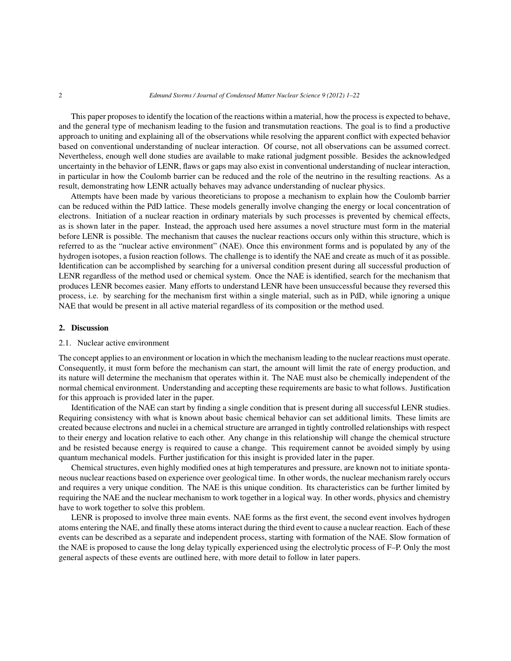This paper proposes to identify the location of the reactions within a material, how the process is expected to behave, and the general type of mechanism leading to the fusion and transmutation reactions. The goal is to find a productive approach to uniting and explaining all of the observations while resolving the apparent conflict with expected behavior based on conventional understanding of nuclear interaction. Of course, not all observations can be assumed correct. Nevertheless, enough well done studies are available to make rational judgment possible. Besides the acknowledged uncertainty in the behavior of LENR, flaws or gaps may also exist in conventional understanding of nuclear interaction, in particular in how the Coulomb barrier can be reduced and the role of the neutrino in the resulting reactions. As a result, demonstrating how LENR actually behaves may advance understanding of nuclear physics.

Attempts have been made by various theoreticians to propose a mechanism to explain how the Coulomb barrier can be reduced within the PdD lattice. These models generally involve changing the energy or local concentration of electrons. Initiation of a nuclear reaction in ordinary materials by such processes is prevented by chemical effects, as is shown later in the paper. Instead, the approach used here assumes a novel structure must form in the material before LENR is possible. The mechanism that causes the nuclear reactions occurs only within this structure, which is referred to as the "nuclear active environment" (NAE). Once this environment forms and is populated by any of the hydrogen isotopes, a fusion reaction follows. The challenge is to identify the NAE and create as much of it as possible. Identification can be accomplished by searching for a universal condition present during all successful production of LENR regardless of the method used or chemical system. Once the NAE is identified, search for the mechanism that produces LENR becomes easier. Many efforts to understand LENR have been unsuccessful because they reversed this process, i.e. by searching for the mechanism first within a single material, such as in PdD, while ignoring a unique NAE that would be present in all active material regardless of its composition or the method used.

#### **2. Discussion**

## 2.1. Nuclear active environment

The concept applies to an environment or location in which the mechanism leading to the nuclear reactions must operate. Consequently, it must form before the mechanism can start, the amount will limit the rate of energy production, and its nature will determine the mechanism that operates within it. The NAE must also be chemically independent of the normal chemical environment. Understanding and accepting these requirements are basic to what follows. Justification for this approach is provided later in the paper.

Identification of the NAE can start by finding a single condition that is present during all successful LENR studies. Requiring consistency with what is known about basic chemical behavior can set additional limits. These limits are created because electrons and nuclei in a chemical structure are arranged in tightly controlled relationships with respect to their energy and location relative to each other. Any change in this relationship will change the chemical structure and be resisted because energy is required to cause a change. This requirement cannot be avoided simply by using quantum mechanical models. Further justification for this insight is provided later in the paper.

Chemical structures, even highly modified ones at high temperatures and pressure, are known not to initiate spontaneous nuclear reactions based on experience over geological time. In other words, the nuclear mechanism rarely occurs and requires a very unique condition. The NAE is this unique condition. Its characteristics can be further limited by requiring the NAE and the nuclear mechanism to work together in a logical way. In other words, physics and chemistry have to work together to solve this problem.

LENR is proposed to involve three main events. NAE forms as the first event, the second event involves hydrogen atoms entering the NAE, and finally these atoms interact during the third event to cause a nuclear reaction. Each of these events can be described as a separate and independent process, starting with formation of the NAE. Slow formation of the NAE is proposed to cause the long delay typically experienced using the electrolytic process of F–P. Only the most general aspects of these events are outlined here, with more detail to follow in later papers.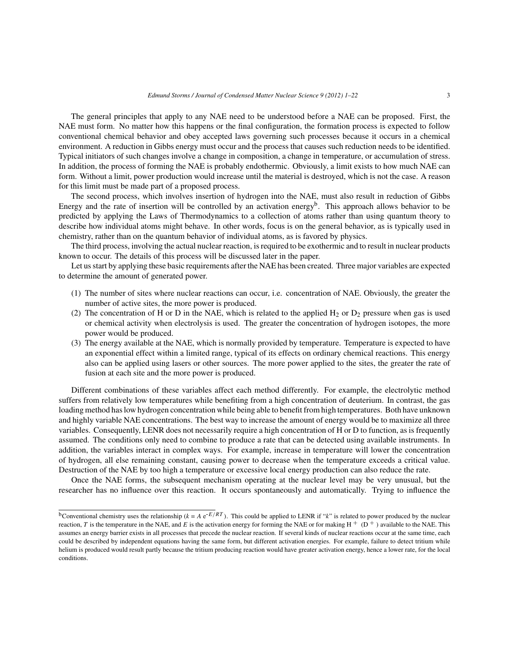The general principles that apply to any NAE need to be understood before a NAE can be proposed. First, the NAE must form. No matter how this happens or the final configuration, the formation process is expected to follow conventional chemical behavior and obey accepted laws governing such processes because it occurs in a chemical environment. A reduction in Gibbs energy must occur and the process that causes such reduction needs to be identified. Typical initiators of such changes involve a change in composition, a change in temperature, or accumulation of stress. In addition, the process of forming the NAE is probably endothermic. Obviously, a limit exists to how much NAE can form. Without a limit, power production would increase until the material is destroyed, which is not the case. A reason for this limit must be made part of a proposed process.

The second process, which involves insertion of hydrogen into the NAE, must also result in reduction of Gibbs Energy and the rate of insertion will be controlled by an activation energy<sup>b</sup>. This approach allows behavior to be predicted by applying the Laws of Thermodynamics to a collection of atoms rather than using quantum theory to describe how individual atoms might behave. In other words, focus is on the general behavior, as is typically used in chemistry, rather than on the quantum behavior of individual atoms, as is favored by physics.

The third process, involving the actual nuclear reaction, is required to be exothermic and to result in nuclear products known to occur. The details of this process will be discussed later in the paper.

Let us start by applying these basic requirements after the NAE has been created. Three major variables are expected to determine the amount of generated power.

- (1) The number of sites where nuclear reactions can occur, i.e. concentration of NAE. Obviously, the greater the number of active sites, the more power is produced.
- (2) The concentration of H or D in the NAE, which is related to the applied  $H_2$  or  $D_2$  pressure when gas is used or chemical activity when electrolysis is used. The greater the concentration of hydrogen isotopes, the more power would be produced.
- (3) The energy available at the NAE, which is normally provided by temperature. Temperature is expected to have an exponential effect within a limited range, typical of its effects on ordinary chemical reactions. This energy also can be applied using lasers or other sources. The more power applied to the sites, the greater the rate of fusion at each site and the more power is produced.

Different combinations of these variables affect each method differently. For example, the electrolytic method suffers from relatively low temperatures while benefiting from a high concentration of deuterium. In contrast, the gas loading method has low hydrogen concentration while being able to benefit from high temperatures. Both have unknown and highly variable NAE concentrations. The best way to increase the amount of energy would be to maximize all three variables. Consequently, LENR does not necessarily require a high concentration of H or D to function, as is frequently assumed. The conditions only need to combine to produce a rate that can be detected using available instruments. In addition, the variables interact in complex ways. For example, increase in temperature will lower the concentration of hydrogen, all else remaining constant, causing power to decrease when the temperature exceeds a critical value. Destruction of the NAE by too high a temperature or excessive local energy production can also reduce the rate.

Once the NAE forms, the subsequent mechanism operating at the nuclear level may be very unusual, but the researcher has no influence over this reaction. It occurs spontaneously and automatically. Trying to influence the

<sup>&</sup>lt;sup>b</sup>Conventional chemistry uses the relationship ( $k = A e^{-E/RT}$ ). This could be applied to LENR if "k" is related to power produced by the nuclear reaction, T is the temperature in the NAE, and E is the activation energy for forming the NAE or for making  $H^+$  (D<sup>+</sup>) available to the NAE. This assumes an energy barrier exists in all processes that precede the nuclear reaction. If several kinds of nuclear reactions occur at the same time, each could be described by independent equations having the same form, but different activation energies. For example, failure to detect tritium while helium is produced would result partly because the tritium producing reaction would have greater activation energy, hence a lower rate, for the local conditions.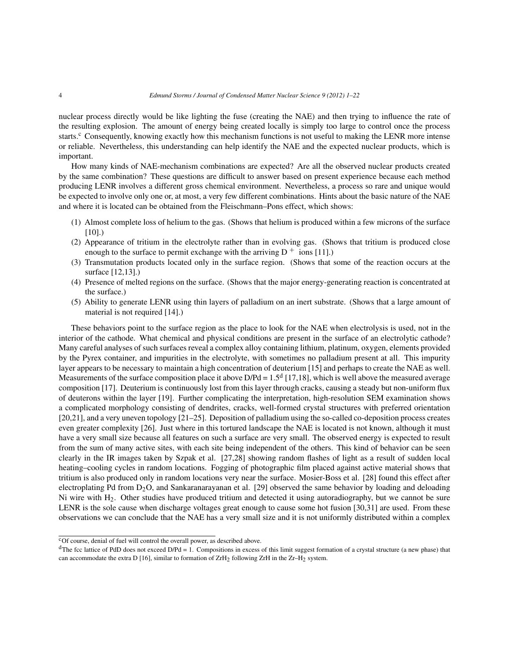nuclear process directly would be like lighting the fuse (creating the NAE) and then trying to influence the rate of the resulting explosion. The amount of energy being created locally is simply too large to control once the process starts.<sup>c</sup> Consequently, knowing exactly how this mechanism functions is not useful to making the LENR more intense or reliable. Nevertheless, this understanding can help identify the NAE and the expected nuclear products, which is important.

How many kinds of NAE-mechanism combinations are expected? Are all the observed nuclear products created by the same combination? These questions are difficult to answer based on present experience because each method producing LENR involves a different gross chemical environment. Nevertheless, a process so rare and unique would be expected to involve only one or, at most, a very few different combinations. Hints about the basic nature of the NAE and where it is located can be obtained from the Fleischmann–Pons effect, which shows:

- (1) Almost complete loss of helium to the gas. (Shows that helium is produced within a few microns of the surface [10].)
- (2) Appearance of tritium in the electrolyte rather than in evolving gas. (Shows that tritium is produced close enough to the surface to permit exchange with the arriving  $D^+$  ions [11].)
- (3) Transmutation products located only in the surface region. (Shows that some of the reaction occurs at the surface [12,13].)
- (4) Presence of melted regions on the surface. (Shows that the major energy-generating reaction is concentrated at the surface.)
- (5) Ability to generate LENR using thin layers of palladium on an inert substrate. (Shows that a large amount of material is not required [14].)

These behaviors point to the surface region as the place to look for the NAE when electrolysis is used, not in the interior of the cathode. What chemical and physical conditions are present in the surface of an electrolytic cathode? Many careful analyses of such surfaces reveal a complex alloy containing lithium, platinum, oxygen, elements provided by the Pyrex container, and impurities in the electrolyte, with sometimes no palladium present at all. This impurity layer appears to be necessary to maintain a high concentration of deuterium [15] and perhaps to create the NAE as well. Measurements of the surface composition place it above  $D/Pd = 1.5<sup>d</sup>$  [17,18], which is well above the measured average composition [17]. Deuterium is continuously lost from this layer through cracks, causing a steady but non-uniform flux of deuterons within the layer [19]. Further complicating the interpretation, high-resolution SEM examination shows a complicated morphology consisting of dendrites, cracks, well-formed crystal structures with preferred orientation [20,21], and a very uneven topology [21–25]. Deposition of palladium using the so-called co-deposition process creates even greater complexity [26]. Just where in this tortured landscape the NAE is located is not known, although it must have a very small size because all features on such a surface are very small. The observed energy is expected to result from the sum of many active sites, with each site being independent of the others. This kind of behavior can be seen clearly in the IR images taken by Szpak et al. [27,28] showing random flashes of light as a result of sudden local heating–cooling cycles in random locations. Fogging of photographic film placed against active material shows that tritium is also produced only in random locations very near the surface. Mosier-Boss et al. [28] found this effect after electroplating Pd from D<sub>2</sub>O, and Sankaranarayanan et al. [29] observed the same behavior by loading and deloading Ni wire with H2. Other studies have produced tritium and detected it using autoradiography, but we cannot be sure LENR is the sole cause when discharge voltages great enough to cause some hot fusion [30,31] are used. From these observations we can conclude that the NAE has a very small size and it is not uniformly distributed within a complex

 $\overline{c_{\rm Of}}$  course, denial of fuel will control the overall power, as described above.

 $d$ The fcc lattice of PdD does not exceed D/Pd = 1. Compositions in excess of this limit suggest formation of a crystal structure (a new phase) that can accommodate the extra D [16], similar to formation of ZrH<sub>2</sub> following ZrH in the Zr-H<sub>2</sub> system.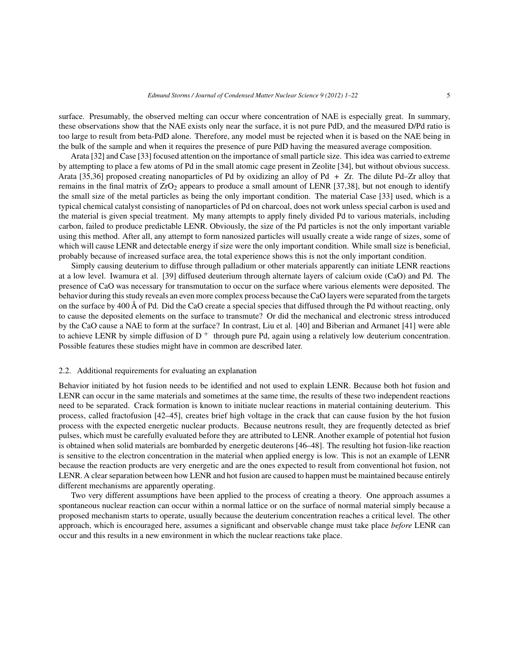surface. Presumably, the observed melting can occur where concentration of NAE is especially great. In summary, these observations show that the NAE exists only near the surface, it is not pure PdD, and the measured D/Pd ratio is too large to result from beta-PdD alone. Therefore, any model must be rejected when it is based on the NAE being in the bulk of the sample and when it requires the presence of pure PdD having the measured average composition.

Arata [32] and Case [33] focused attention on the importance of small particle size. This idea was carried to extreme by attempting to place a few atoms of Pd in the small atomic cage present in Zeolite [34], but without obvious success. Arata [35,36] proposed creating nanoparticles of Pd by oxidizing an alloy of Pd + Zr. The dilute Pd–Zr alloy that remains in the final matrix of  $ZrO<sub>2</sub>$  appears to produce a small amount of LENR [37,38], but not enough to identify the small size of the metal particles as being the only important condition. The material Case [33] used, which is a typical chemical catalyst consisting of nanoparticles of Pd on charcoal, does not work unless special carbon is used and the material is given special treatment. My many attempts to apply finely divided Pd to various materials, including carbon, failed to produce predictable LENR. Obviously, the size of the Pd particles is not the only important variable using this method. After all, any attempt to form nanosized particles will usually create a wide range of sizes, some of which will cause LENR and detectable energy if size were the only important condition. While small size is beneficial, probably because of increased surface area, the total experience shows this is not the only important condition.

Simply causing deuterium to diffuse through palladium or other materials apparently can initiate LENR reactions at a low level. Iwamura et al. [39] diffused deuterium through alternate layers of calcium oxide (CaO) and Pd. The presence of CaO was necessary for transmutation to occur on the surface where various elements were deposited. The behavior during this study reveals an even more complex process because the CaO layers were separated from the targets on the surface by 400 Å of Pd. Did the CaO create a special species that diffused through the Pd without reacting, only to cause the deposited elements on the surface to transmute? Or did the mechanical and electronic stress introduced by the CaO cause a NAE to form at the surface? In contrast, Liu et al. [40] and Biberian and Armanet [41] were able to achieve LENR by simple diffusion of  $D^+$  through pure Pd, again using a relatively low deuterium concentration. Possible features these studies might have in common are described later.

#### 2.2. Additional requirements for evaluating an explanation

Behavior initiated by hot fusion needs to be identified and not used to explain LENR. Because both hot fusion and LENR can occur in the same materials and sometimes at the same time, the results of these two independent reactions need to be separated. Crack formation is known to initiate nuclear reactions in material containing deuterium. This process, called fractofusion [42–45], creates brief high voltage in the crack that can cause fusion by the hot fusion process with the expected energetic nuclear products. Because neutrons result, they are frequently detected as brief pulses, which must be carefully evaluated before they are attributed to LENR. Another example of potential hot fusion is obtained when solid materials are bombarded by energetic deuterons [46–48]. The resulting hot fusion-like reaction is sensitive to the electron concentration in the material when applied energy is low. This is not an example of LENR because the reaction products are very energetic and are the ones expected to result from conventional hot fusion, not LENR. A clear separation between how LENR and hot fusion are caused to happen must be maintained because entirely different mechanisms are apparently operating.

Two very different assumptions have been applied to the process of creating a theory. One approach assumes a spontaneous nuclear reaction can occur within a normal lattice or on the surface of normal material simply because a proposed mechanism starts to operate, usually because the deuterium concentration reaches a critical level. The other approach, which is encouraged here, assumes a significant and observable change must take place *before* LENR can occur and this results in a new environment in which the nuclear reactions take place.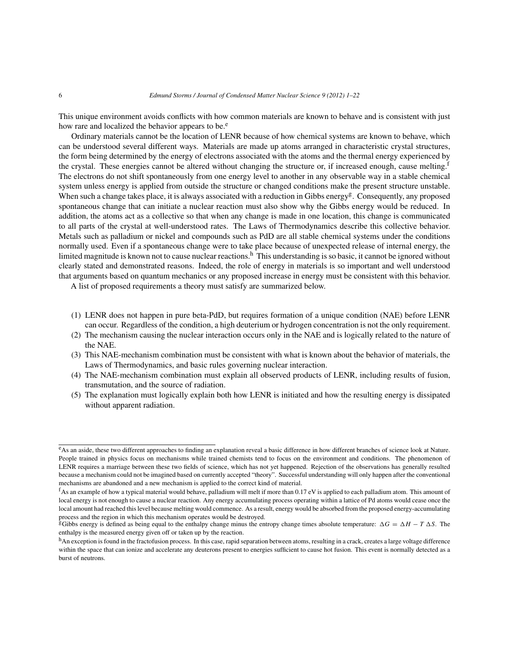This unique environment avoids conflicts with how common materials are known to behave and is consistent with just how rare and localized the behavior appears to be.<sup>e</sup>

Ordinary materials cannot be the location of LENR because of how chemical systems are known to behave, which can be understood several different ways. Materials are made up atoms arranged in characteristic crystal structures, the form being determined by the energy of electrons associated with the atoms and the thermal energy experienced by the crystal. These energies cannot be altered without changing the structure or, if increased enough, cause melting.<sup>f</sup> The electrons do not shift spontaneously from one energy level to another in any observable way in a stable chemical system unless energy is applied from outside the structure or changed conditions make the present structure unstable. When such a change takes place, it is always associated with a reduction in Gibbs energy<sup>g</sup>. Consequently, any proposed spontaneous change that can initiate a nuclear reaction must also show why the Gibbs energy would be reduced. In addition, the atoms act as a collective so that when any change is made in one location, this change is communicated to all parts of the crystal at well-understood rates. The Laws of Thermodynamics describe this collective behavior. Metals such as palladium or nickel and compounds such as PdD are all stable chemical systems under the conditions normally used. Even if a spontaneous change were to take place because of unexpected release of internal energy, the limited magnitude is known not to cause nuclear reactions.<sup>h</sup> This understanding is so basic, it cannot be ignored without clearly stated and demonstrated reasons. Indeed, the role of energy in materials is so important and well understood that arguments based on quantum mechanics or any proposed increase in energy must be consistent with this behavior.

A list of proposed requirements a theory must satisfy are summarized below.

- (1) LENR does not happen in pure beta-PdD, but requires formation of a unique condition (NAE) before LENR can occur. Regardless of the condition, a high deuterium or hydrogen concentration is not the only requirement.
- (2) The mechanism causing the nuclear interaction occurs only in the NAE and is logically related to the nature of the NAE.
- (3) This NAE-mechanism combination must be consistent with what is known about the behavior of materials, the Laws of Thermodynamics, and basic rules governing nuclear interaction.
- (4) The NAE-mechanism combination must explain all observed products of LENR, including results of fusion, transmutation, and the source of radiation.
- (5) The explanation must logically explain both how LENR is initiated and how the resulting energy is dissipated without apparent radiation.

eAs an aside, these two different approaches to finding an explanation reveal a basic difference in how different branches of science look at Nature. People trained in physics focus on mechanisms while trained chemists tend to focus on the environment and conditions. The phenomenon of LENR requires a marriage between these two fields of science, which has not yet happened. Rejection of the observations has generally resulted because a mechanism could not be imagined based on currently accepted "theory". Successful understanding will only happen after the conventional mechanisms are abandoned and a new mechanism is applied to the correct kind of material.

 $f_{\text{AS}}$  an example of how a typical material would behave, palladium will melt if more than 0.17 eV is applied to each palladium atom. This amount of local energy is not enough to cause a nuclear reaction. Any energy accumulating process operating within a lattice of Pd atoms would cease once the local amount had reached this level because melting would commence. As a result, energy would be absorbed from the proposed energy-accumulating process and the region in which this mechanism operates would be destroyed.

gGibbs energy is defined as being equal to the enthalpy change minus the entropy change times absolute temperature:  $\Delta G = \Delta H - T \Delta S$ . The enthalpy is the measured energy given off or taken up by the reaction.

hAn exception is found in the fractofusion process. In this case, rapid separation between atoms, resulting in a crack, creates a large voltage difference within the space that can ionize and accelerate any deuterons present to energies sufficient to cause hot fusion. This event is normally detected as a burst of neutrons.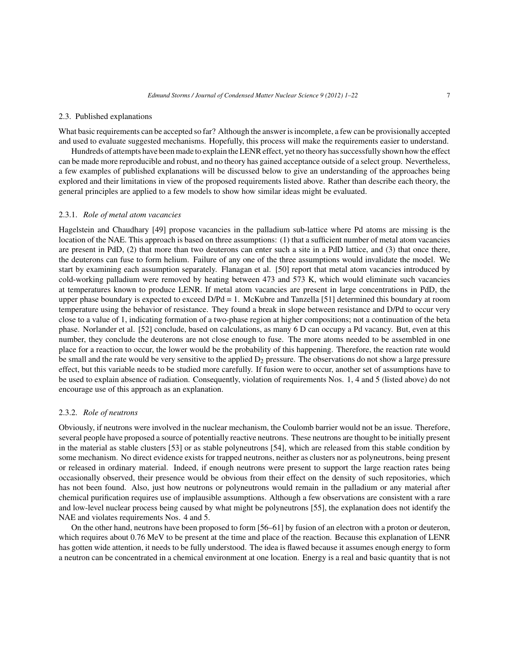#### 2.3. Published explanations

What basic requirements can be accepted so far? Although the answer is incomplete, a few can be provisionally accepted and used to evaluate suggested mechanisms. Hopefully, this process will make the requirements easier to understand.

Hundreds of attempts have been made to explain the LENR effect, yet no theory has successfully shown how the effect can be made more reproducible and robust, and no theory has gained acceptance outside of a select group. Nevertheless, a few examples of published explanations will be discussed below to give an understanding of the approaches being explored and their limitations in view of the proposed requirements listed above. Rather than describe each theory, the general principles are applied to a few models to show how similar ideas might be evaluated.

#### 2.3.1. *Role of metal atom vacancies*

Hagelstein and Chaudhary [49] propose vacancies in the palladium sub-lattice where Pd atoms are missing is the location of the NAE. This approach is based on three assumptions: (1) that a sufficient number of metal atom vacancies are present in PdD, (2) that more than two deuterons can enter such a site in a PdD lattice, and (3) that once there, the deuterons can fuse to form helium. Failure of any one of the three assumptions would invalidate the model. We start by examining each assumption separately. Flanagan et al. [50] report that metal atom vacancies introduced by cold-working palladium were removed by heating between 473 and 573 K, which would eliminate such vacancies at temperatures known to produce LENR. If metal atom vacancies are present in large concentrations in PdD, the upper phase boundary is expected to exceed D/Pd = 1. McKubre and Tanzella [51] determined this boundary at room temperature using the behavior of resistance. They found a break in slope between resistance and D/Pd to occur very close to a value of 1, indicating formation of a two-phase region at higher compositions; not a continuation of the beta phase. Norlander et al. [52] conclude, based on calculations, as many 6 D can occupy a Pd vacancy. But, even at this number, they conclude the deuterons are not close enough to fuse. The more atoms needed to be assembled in one place for a reaction to occur, the lower would be the probability of this happening. Therefore, the reaction rate would be small and the rate would be very sensitive to the applied  $D<sub>2</sub>$  pressure. The observations do not show a large pressure effect, but this variable needs to be studied more carefully. If fusion were to occur, another set of assumptions have to be used to explain absence of radiation. Consequently, violation of requirements Nos. 1, 4 and 5 (listed above) do not encourage use of this approach as an explanation.

## 2.3.2. *Role of neutrons*

Obviously, if neutrons were involved in the nuclear mechanism, the Coulomb barrier would not be an issue. Therefore, several people have proposed a source of potentially reactive neutrons. These neutrons are thought to be initially present in the material as stable clusters [53] or as stable polyneutrons [54], which are released from this stable condition by some mechanism. No direct evidence exists for trapped neutrons, neither as clusters nor as polyneutrons, being present or released in ordinary material. Indeed, if enough neutrons were present to support the large reaction rates being occasionally observed, their presence would be obvious from their effect on the density of such repositories, which has not been found. Also, just how neutrons or polyneutrons would remain in the palladium or any material after chemical purification requires use of implausible assumptions. Although a few observations are consistent with a rare and low-level nuclear process being caused by what might be polyneutrons [55], the explanation does not identify the NAE and violates requirements Nos. 4 and 5.

On the other hand, neutrons have been proposed to form [56–61] by fusion of an electron with a proton or deuteron, which requires about 0.76 MeV to be present at the time and place of the reaction. Because this explanation of LENR has gotten wide attention, it needs to be fully understood. The idea is flawed because it assumes enough energy to form a neutron can be concentrated in a chemical environment at one location. Energy is a real and basic quantity that is not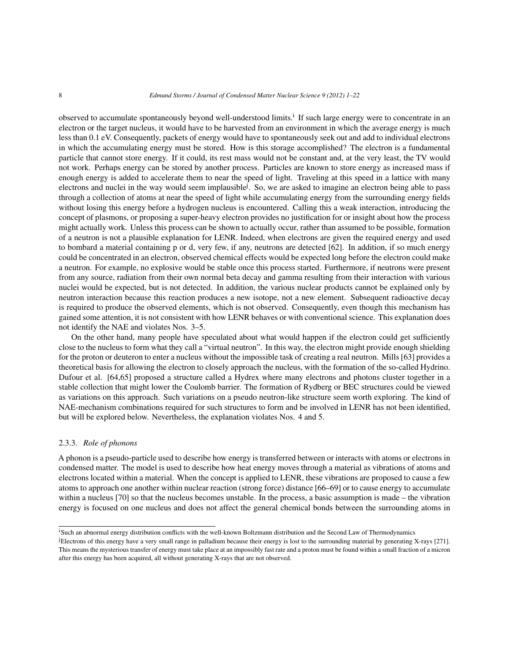observed to accumulate spontaneously beyond well-understood limits.<sup>i</sup> If such large energy were to concentrate in an electron or the target nucleus, it would have to be harvested from an environment in which the average energy is much less than 0.1 eV. Consequently, packets of energy would have to spontaneously seek out and add to individual electrons in which the accumulating energy must be stored. How is this storage accomplished? The electron is a fundamental particle that cannot store energy. If it could, its rest mass would not be constant and, at the very least, the TV would not work. Perhaps energy can be stored by another process. Particles are known to store energy as increased mass if enough energy is added to accelerate them to near the speed of light. Traveling at this speed in a lattice with many electrons and nuclei in the way would seem implausible<sup>j</sup>. So, we are asked to imagine an electron being able to pass through a collection of atoms at near the speed of light while accumulating energy from the surrounding energy fields without losing this energy before a hydrogen nucleus is encountered. Calling this a weak interaction, introducing the concept of plasmons, or proposing a super-heavy electron provides no justification for or insight about how the process might actually work. Unless this process can be shown to actually occur, rather than assumed to be possible, formation of a neutron is not a plausible explanation for LENR. Indeed, when electrons are given the required energy and used to bombard a material containing p or d, very few, if any, neutrons are detected [62]. In addition, if so much energy could be concentrated in an electron, observed chemical effects would be expected long before the electron could make a neutron. For example, no explosive would be stable once this process started. Furthermore, if neutrons were present from any source, radiation from their own normal beta decay and gamma resulting from their interaction with various nuclei would be expected, but is not detected. In addition, the various nuclear products cannot be explained only by neutron interaction because this reaction produces a new isotope, not a new element. Subsequent radioactive decay is required to produce the observed elements, which is not observed. Consequently, even though this mechanism has gained some attention, it is not consistent with how LENR behaves or with conventional science. This explanation does not identify the NAE and violates Nos. 3–5.

On the other hand, many people have speculated about what would happen if the electron could get sufficiently close to the nucleus to form what they call a "virtual neutron". In this way, the electron might provide enough shielding for the proton or deuteron to enter a nucleus without the impossible task of creating a real neutron. Mills [63] provides a theoretical basis for allowing the electron to closely approach the nucleus, with the formation of the so-called Hydrino. Dufour et al. [64,65] proposed a structure called a Hydrex where many electrons and photons cluster together in a stable collection that might lower the Coulomb barrier. The formation of Rydberg or BEC structures could be viewed as variations on this approach. Such variations on a pseudo neutron-like structure seem worth exploring. The kind of NAE-mechanism combinations required for such structures to form and be involved in LENR has not been identified, but will be explored below. Nevertheless, the explanation violates Nos. 4 and 5.

#### 2.3.3. *Role of phonons*

A phonon is a pseudo-particle used to describe how energy is transferred between or interacts with atoms or electrons in condensed matter. The model is used to describe how heat energy moves through a material as vibrations of atoms and electrons located within a material. When the concept is applied to LENR, these vibrations are proposed to cause a few atoms to approach one another within nuclear reaction (strong force) distance [66–69] or to cause energy to accumulate within a nucleus [70] so that the nucleus becomes unstable. In the process, a basic assumption is made – the vibration energy is focused on one nucleus and does not affect the general chemical bonds between the surrounding atoms in

<sup>&</sup>lt;sup>i</sup>Such an abnormal energy distribution conflicts with the well-known Boltzmann distribution and the Second Law of Thermodynamics

j Electrons of this energy have a very small range in palladium because their energy is lost to the surrounding material by generating X-rays [271]. This means the mysterious transfer of energy must take place at an impossibly fast rate and a proton must be found within a small fraction of a micron after this energy has been acquired, all without generating X-rays that are not observed.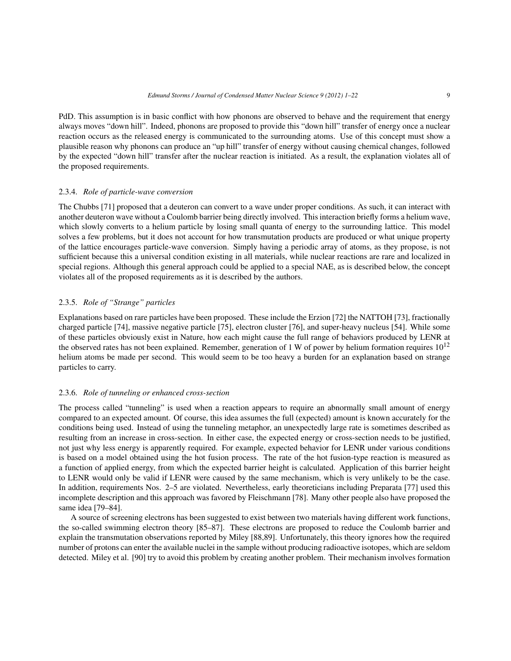PdD. This assumption is in basic conflict with how phonons are observed to behave and the requirement that energy always moves "down hill". Indeed, phonons are proposed to provide this "down hill" transfer of energy once a nuclear reaction occurs as the released energy is communicated to the surrounding atoms. Use of this concept must show a plausible reason why phonons can produce an "up hill" transfer of energy without causing chemical changes, followed by the expected "down hill" transfer after the nuclear reaction is initiated. As a result, the explanation violates all of the proposed requirements.

#### 2.3.4. *Role of particle-wave conversion*

The Chubbs [71] proposed that a deuteron can convert to a wave under proper conditions. As such, it can interact with another deuteron wave without a Coulomb barrier being directly involved. This interaction briefly forms a helium wave, which slowly converts to a helium particle by losing small quanta of energy to the surrounding lattice. This model solves a few problems, but it does not account for how transmutation products are produced or what unique property of the lattice encourages particle-wave conversion. Simply having a periodic array of atoms, as they propose, is not sufficient because this a universal condition existing in all materials, while nuclear reactions are rare and localized in special regions. Although this general approach could be applied to a special NAE, as is described below, the concept violates all of the proposed requirements as it is described by the authors.

# 2.3.5. *Role of "Strange" particles*

Explanations based on rare particles have been proposed. These include the Erzion [72] the NATTOH [73], fractionally charged particle [74], massive negative particle [75], electron cluster [76], and super-heavy nucleus [54]. While some of these particles obviously exist in Nature, how each might cause the full range of behaviors produced by LENR at the observed rates has not been explained. Remember, generation of 1 W of power by helium formation requires  $10^{12}$ helium atoms be made per second. This would seem to be too heavy a burden for an explanation based on strange particles to carry.

#### 2.3.6. *Role of tunneling or enhanced cross-section*

The process called "tunneling" is used when a reaction appears to require an abnormally small amount of energy compared to an expected amount. Of course, this idea assumes the full (expected) amount is known accurately for the conditions being used. Instead of using the tunneling metaphor, an unexpectedly large rate is sometimes described as resulting from an increase in cross-section. In either case, the expected energy or cross-section needs to be justified, not just why less energy is apparently required. For example, expected behavior for LENR under various conditions is based on a model obtained using the hot fusion process. The rate of the hot fusion-type reaction is measured as a function of applied energy, from which the expected barrier height is calculated. Application of this barrier height to LENR would only be valid if LENR were caused by the same mechanism, which is very unlikely to be the case. In addition, requirements Nos. 2–5 are violated. Nevertheless, early theoreticians including Preparata [77] used this incomplete description and this approach was favored by Fleischmann [78]. Many other people also have proposed the same idea [79–84].

A source of screening electrons has been suggested to exist between two materials having different work functions, the so-called swimming electron theory [85–87]. These electrons are proposed to reduce the Coulomb barrier and explain the transmutation observations reported by Miley [88,89]. Unfortunately, this theory ignores how the required number of protons can enter the available nuclei in the sample without producing radioactive isotopes, which are seldom detected. Miley et al. [90] try to avoid this problem by creating another problem. Their mechanism involves formation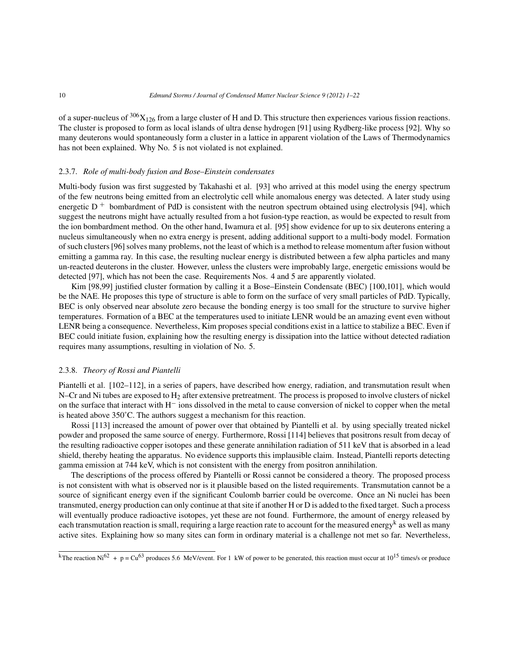of a super-nucleus of  $306X_{126}$  from a large cluster of H and D. This structure then experiences various fission reactions. The cluster is proposed to form as local islands of ultra dense hydrogen [91] using Rydberg-like process [92]. Why so many deuterons would spontaneously form a cluster in a lattice in apparent violation of the Laws of Thermodynamics has not been explained. Why No. 5 is not violated is not explained.

#### 2.3.7. *Role of multi-body fusion and Bose–Einstein condensates*

Multi-body fusion was first suggested by Takahashi et al. [93] who arrived at this model using the energy spectrum of the few neutrons being emitted from an electrolytic cell while anomalous energy was detected. A later study using energetic  $D^+$  bombardment of PdD is consistent with the neutron spectrum obtained using electrolysis [94], which suggest the neutrons might have actually resulted from a hot fusion-type reaction, as would be expected to result from the ion bombardment method. On the other hand, Iwamura et al. [95] show evidence for up to six deuterons entering a nucleus simultaneously when no extra energy is present, adding additional support to a multi-body model. Formation of such clusters [96] solves many problems, not the least of which is a method to release momentum after fusion without emitting a gamma ray. In this case, the resulting nuclear energy is distributed between a few alpha particles and many un-reacted deuterons in the cluster. However, unless the clusters were improbably large, energetic emissions would be detected [97], which has not been the case. Requirements Nos. 4 and 5 are apparently violated.

Kim [98,99] justified cluster formation by calling it a Bose–Einstein Condensate (BEC) [100,101], which would be the NAE. He proposes this type of structure is able to form on the surface of very small particles of PdD. Typically, BEC is only observed near absolute zero because the bonding energy is too small for the structure to survive higher temperatures. Formation of a BEC at the temperatures used to initiate LENR would be an amazing event even without LENR being a consequence. Nevertheless, Kim proposes special conditions exist in a lattice to stabilize a BEC. Even if BEC could initiate fusion, explaining how the resulting energy is dissipation into the lattice without detected radiation requires many assumptions, resulting in violation of No. 5.

#### 2.3.8. *Theory of Rossi and Piantelli*

Piantelli et al. [102–112], in a series of papers, have described how energy, radiation, and transmutation result when N–Cr and Ni tubes are exposed to  $H_2$  after extensive pretreatment. The process is proposed to involve clusters of nickel on the surface that interact with H− ions dissolved in the metal to cause conversion of nickel to copper when the metal is heated above 350˚C. The authors suggest a mechanism for this reaction.

Rossi [113] increased the amount of power over that obtained by Piantelli et al. by using specially treated nickel powder and proposed the same source of energy. Furthermore, Rossi [114] believes that positrons result from decay of the resulting radioactive copper isotopes and these generate annihilation radiation of 511 keV that is absorbed in a lead shield, thereby heating the apparatus. No evidence supports this implausible claim. Instead, Piantelli reports detecting gamma emission at 744 keV, which is not consistent with the energy from positron annihilation.

The descriptions of the process offered by Piantelli or Rossi cannot be considered a theory. The proposed process is not consistent with what is observed nor is it plausible based on the listed requirements. Transmutation cannot be a source of significant energy even if the significant Coulomb barrier could be overcome. Once an Ni nuclei has been transmuted, energy production can only continue at that site if another H or D is added to the fixed target. Such a process will eventually produce radioactive isotopes, yet these are not found. Furthermore, the amount of energy released by each transmutation reaction is small, requiring a large reaction rate to account for the measured energy<sup>k</sup> as well as many active sites. Explaining how so many sites can form in ordinary material is a challenge not met so far. Nevertheless,

 $\overline{k_{\text{The reaction Ni}}^{62} + p} = \text{Cu}^{63}$  produces 5.6 MeV/event. For 1 kW of power to be generated, this reaction must occur at 10<sup>15</sup> times/s or produce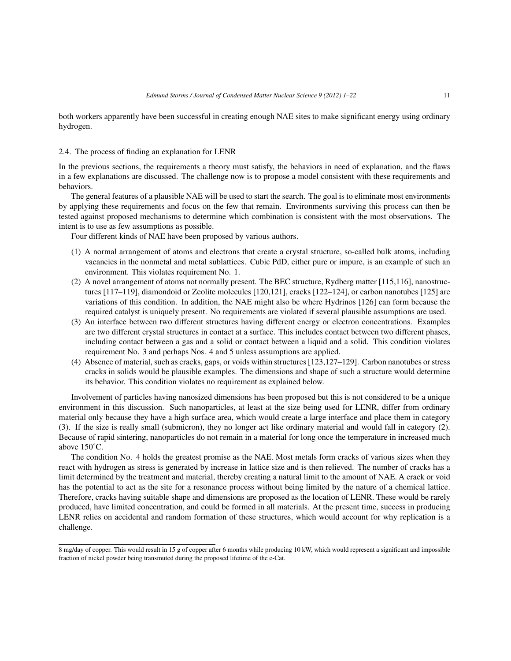both workers apparently have been successful in creating enough NAE sites to make significant energy using ordinary hydrogen.

#### 2.4. The process of finding an explanation for LENR

In the previous sections, the requirements a theory must satisfy, the behaviors in need of explanation, and the flaws in a few explanations are discussed. The challenge now is to propose a model consistent with these requirements and behaviors.

The general features of a plausible NAE will be used to start the search. The goal is to eliminate most environments by applying these requirements and focus on the few that remain. Environments surviving this process can then be tested against proposed mechanisms to determine which combination is consistent with the most observations. The intent is to use as few assumptions as possible.

Four different kinds of NAE have been proposed by various authors.

- (1) A normal arrangement of atoms and electrons that create a crystal structure, so-called bulk atoms, including vacancies in the nonmetal and metal sublattices. Cubic PdD, either pure or impure, is an example of such an environment. This violates requirement No. 1.
- (2) A novel arrangement of atoms not normally present. The BEC structure, Rydberg matter [115,116], nanostructures [117–119], diamondoid or Zeolite molecules [120,121], cracks [122–124], or carbon nanotubes [125] are variations of this condition. In addition, the NAE might also be where Hydrinos [126] can form because the required catalyst is uniquely present. No requirements are violated if several plausible assumptions are used.
- (3) An interface between two different structures having different energy or electron concentrations. Examples are two different crystal structures in contact at a surface. This includes contact between two different phases, including contact between a gas and a solid or contact between a liquid and a solid. This condition violates requirement No. 3 and perhaps Nos. 4 and 5 unless assumptions are applied.
- (4) Absence of material, such as cracks, gaps, or voids within structures [123,127–129]. Carbon nanotubes or stress cracks in solids would be plausible examples. The dimensions and shape of such a structure would determine its behavior. This condition violates no requirement as explained below.

Involvement of particles having nanosized dimensions has been proposed but this is not considered to be a unique environment in this discussion. Such nanoparticles, at least at the size being used for LENR, differ from ordinary material only because they have a high surface area, which would create a large interface and place them in category (3). If the size is really small (submicron), they no longer act like ordinary material and would fall in category (2). Because of rapid sintering, nanoparticles do not remain in a material for long once the temperature in increased much above 150˚C.

The condition No. 4 holds the greatest promise as the NAE. Most metals form cracks of various sizes when they react with hydrogen as stress is generated by increase in lattice size and is then relieved. The number of cracks has a limit determined by the treatment and material, thereby creating a natural limit to the amount of NAE. A crack or void has the potential to act as the site for a resonance process without being limited by the nature of a chemical lattice. Therefore, cracks having suitable shape and dimensions are proposed as the location of LENR. These would be rarely produced, have limited concentration, and could be formed in all materials. At the present time, success in producing LENR relies on accidental and random formation of these structures, which would account for why replication is a challenge.

<sup>8</sup> mg/day of copper. This would result in 15 g of copper after 6 months while producing 10 kW, which would represent a significant and impossible fraction of nickel powder being transmuted during the proposed lifetime of the e-Cat.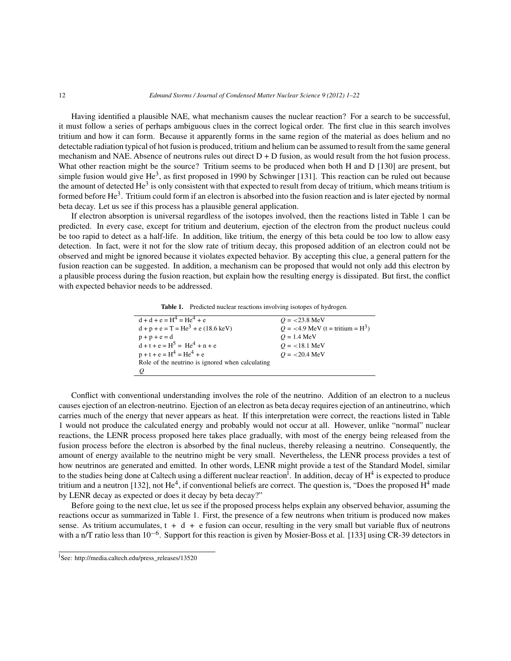Having identified a plausible NAE, what mechanism causes the nuclear reaction? For a search to be successful, it must follow a series of perhaps ambiguous clues in the correct logical order. The first clue in this search involves tritium and how it can form. Because it apparently forms in the same region of the material as does helium and no detectable radiation typical of hot fusion is produced, tritium and helium can be assumed to result from the same general mechanism and NAE. Absence of neutrons rules out direct  $D + D$  fusion, as would result from the hot fusion process. What other reaction might be the source? Tritium seems to be produced when both H and D [130] are present, but simple fusion would give He<sup>3</sup>, as first proposed in 1990 by Schwinger [131]. This reaction can be ruled out because the amount of detected He<sup>3</sup> is only consistent with that expected to result from decay of tritium, which means tritium is formed before  $He<sup>3</sup>$ . Tritium could form if an electron is absorbed into the fusion reaction and is later ejected by normal beta decay. Let us see if this process has a plausible general application.

If electron absorption is universal regardless of the isotopes involved, then the reactions listed in Table 1 can be predicted. In every case, except for tritium and deuterium, ejection of the electron from the product nucleus could be too rapid to detect as a half-life. In addition, like tritium, the energy of this beta could be too low to allow easy detection. In fact, were it not for the slow rate of tritium decay, this proposed addition of an electron could not be observed and might be ignored because it violates expected behavior. By accepting this clue, a general pattern for the fusion reaction can be suggested. In addition, a mechanism can be proposed that would not only add this electron by a plausible process during the fusion reaction, but explain how the resulting energy is dissipated. But first, the conflict with expected behavior needs to be addressed.

**Table 1.** Predicted nuclear reactions involving isotopes of hydrogen.

| $d + d + e = H^4 = He^4 + e$                     | $Q = 23.8 \text{ MeV}$               |
|--------------------------------------------------|--------------------------------------|
| $d + p + e = T = He3 + e (18.6 keV)$             | $Q = 4.9$ MeV (t = tritium = $H^3$ ) |
| $p + p + e = d$                                  | $Q = 1.4$ MeV                        |
| $d + t + e = H^5 = He^4 + n + e$                 | $Q = 18.1$ MeV                       |
| $p + t + e = H^4 = He^4 + e$                     | $Q = 20.4 \text{ MeV}$               |
| Role of the neutrino is ignored when calculating |                                      |
|                                                  |                                      |
|                                                  |                                      |

Conflict with conventional understanding involves the role of the neutrino. Addition of an electron to a nucleus causes ejection of an electron-neutrino. Ejection of an electron as beta decay requires ejection of an antineutrino, which carries much of the energy that never appears as heat. If this interpretation were correct, the reactions listed in Table 1 would not produce the calculated energy and probably would not occur at all. However, unlike "normal" nuclear reactions, the LENR process proposed here takes place gradually, with most of the energy being released from the fusion process before the electron is absorbed by the final nucleus, thereby releasing a neutrino. Consequently, the amount of energy available to the neutrino might be very small. Nevertheless, the LENR process provides a test of how neutrinos are generated and emitted. In other words, LENR might provide a test of the Standard Model, similar to the studies being done at Caltech using a different nuclear reaction<sup>1</sup>. In addition, decay of  $H^4$  is expected to produce tritium and a neutron [132], not  $He^4$ , if conventional beliefs are correct. The question is, "Does the proposed  $H^4$  made by LENR decay as expected or does it decay by beta decay?"

Before going to the next clue, let us see if the proposed process helps explain any observed behavior, assuming the reactions occur as summarized in Table 1. First, the presence of a few neutrons when tritium is produced now makes sense. As tritium accumulates,  $t + d + e$  fusion can occur, resulting in the very small but variable flux of neutrons with a n/T ratio less than 10−6. Support for this reaction is given by Mosier-Boss et al. [133] using CR-39 detectors in

l See: http://media.caltech.edu/press\_releases/13520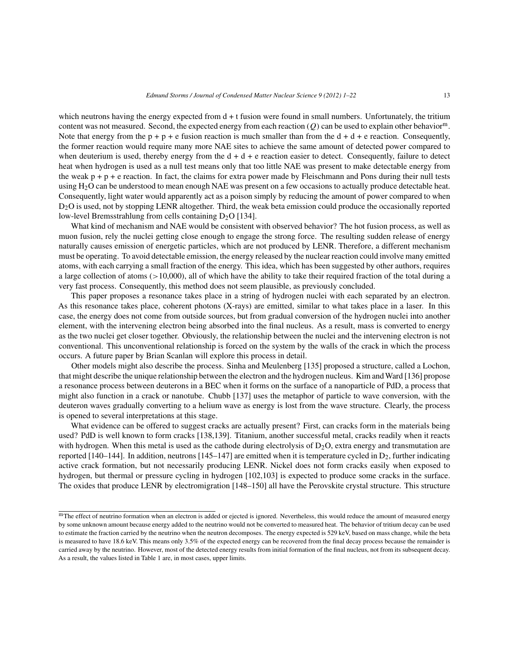which neutrons having the energy expected from  $d + t$  fusion were found in small numbers. Unfortunately, the tritium content was not measured. Second, the expected energy from each reaction  $(Q)$  can be used to explain other behavior<sup>m</sup>. Note that energy from the  $p+p+e$  fusion reaction is much smaller than from the  $d+d+e$  reaction. Consequently, the former reaction would require many more NAE sites to achieve the same amount of detected power compared to when deuterium is used, thereby energy from the  $d + d + e$  reaction easier to detect. Consequently, failure to detect heat when hydrogen is used as a null test means only that too little NAE was present to make detectable energy from the weak  $p + p + e$  reaction. In fact, the claims for extra power made by Fleischmann and Pons during their null tests using  $H_2O$  can be understood to mean enough NAE was present on a few occasions to actually produce detectable heat. Consequently, light water would apparently act as a poison simply by reducing the amount of power compared to when D2O is used, not by stopping LENR altogether. Third, the weak beta emission could produce the occasionally reported low-level Bremsstrahlung from cells containing  $D_2O$  [134].

What kind of mechanism and NAE would be consistent with observed behavior? The hot fusion process, as well as muon fusion, rely the nuclei getting close enough to engage the strong force. The resulting sudden release of energy naturally causes emission of energetic particles, which are not produced by LENR. Therefore, a different mechanism must be operating. To avoid detectable emission, the energy released by the nuclear reaction could involve many emitted atoms, with each carrying a small fraction of the energy. This idea, which has been suggested by other authors, requires a large collection of atoms  $(>10,000)$ , all of which have the ability to take their required fraction of the total during a very fast process. Consequently, this method does not seem plausible, as previously concluded.

This paper proposes a resonance takes place in a string of hydrogen nuclei with each separated by an electron. As this resonance takes place, coherent photons (X-rays) are emitted, similar to what takes place in a laser. In this case, the energy does not come from outside sources, but from gradual conversion of the hydrogen nuclei into another element, with the intervening electron being absorbed into the final nucleus. As a result, mass is converted to energy as the two nuclei get closer together. Obviously, the relationship between the nuclei and the intervening electron is not conventional. This unconventional relationship is forced on the system by the walls of the crack in which the process occurs. A future paper by Brian Scanlan will explore this process in detail.

Other models might also describe the process. Sinha and Meulenberg [135] proposed a structure, called a Lochon, that might describe the unique relationship between the electron and the hydrogen nucleus. Kim and Ward [136] propose a resonance process between deuterons in a BEC when it forms on the surface of a nanoparticle of PdD, a process that might also function in a crack or nanotube. Chubb [137] uses the metaphor of particle to wave conversion, with the deuteron waves gradually converting to a helium wave as energy is lost from the wave structure. Clearly, the process is opened to several interpretations at this stage.

What evidence can be offered to suggest cracks are actually present? First, can cracks form in the materials being used? PdD is well known to form cracks [138,139]. Titanium, another successful metal, cracks readily when it reacts with hydrogen. When this metal is used as the cathode during electrolysis of  $D_2O$ , extra energy and transmutation are reported [140–144]. In addition, neutrons [145–147] are emitted when it is temperature cycled in  $D_2$ , further indicating active crack formation, but not necessarily producing LENR. Nickel does not form cracks easily when exposed to hydrogen, but thermal or pressure cycling in hydrogen [102,103] is expected to produce some cracks in the surface. The oxides that produce LENR by electromigration [148–150] all have the Perovskite crystal structure. This structure

mThe effect of neutrino formation when an electron is added or ejected is ignored. Nevertheless, this would reduce the amount of measured energy by some unknown amount because energy added to the neutrino would not be converted to measured heat. The behavior of tritium decay can be used to estimate the fraction carried by the neutrino when the neutron decomposes. The energy expected is 529 keV, based on mass change, while the beta is measured to have 18.6 keV. This means only 3.5% of the expected energy can be recovered from the final decay process because the remainder is carried away by the neutrino. However, most of the detected energy results from initial formation of the final nucleus, not from its subsequent decay. As a result, the values listed in Table 1 are, in most cases, upper limits.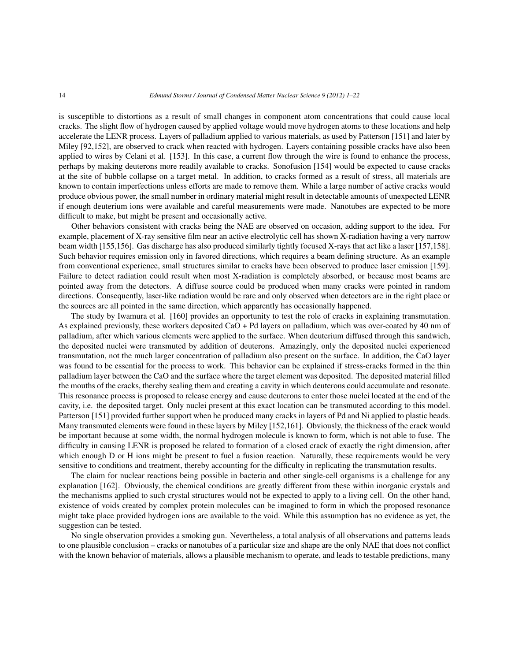is susceptible to distortions as a result of small changes in component atom concentrations that could cause local cracks. The slight flow of hydrogen caused by applied voltage would move hydrogen atoms to these locations and help accelerate the LENR process. Layers of palladium applied to various materials, as used by Patterson [151] and later by Miley [92,152], are observed to crack when reacted with hydrogen. Layers containing possible cracks have also been applied to wires by Celani et al. [153]. In this case, a current flow through the wire is found to enhance the process, perhaps by making deuterons more readily available to cracks. Sonofusion [154] would be expected to cause cracks at the site of bubble collapse on a target metal. In addition, to cracks formed as a result of stress, all materials are known to contain imperfections unless efforts are made to remove them. While a large number of active cracks would produce obvious power, the small number in ordinary material might result in detectable amounts of unexpected LENR if enough deuterium ions were available and careful measurements were made. Nanotubes are expected to be more difficult to make, but might be present and occasionally active.

Other behaviors consistent with cracks being the NAE are observed on occasion, adding support to the idea. For example, placement of X-ray sensitive film near an active electrolytic cell has shown X-radiation having a very narrow beam width [155,156]. Gas discharge has also produced similarly tightly focused X-rays that act like a laser [157,158]. Such behavior requires emission only in favored directions, which requires a beam defining structure. As an example from conventional experience, small structures similar to cracks have been observed to produce laser emission [159]. Failure to detect radiation could result when most X-radiation is completely absorbed, or because most beams are pointed away from the detectors. A diffuse source could be produced when many cracks were pointed in random directions. Consequently, laser-like radiation would be rare and only observed when detectors are in the right place or the sources are all pointed in the same direction, which apparently has occasionally happened.

The study by Iwamura et al. [160] provides an opportunity to test the role of cracks in explaining transmutation. As explained previously, these workers deposited CaO + Pd layers on palladium, which was over-coated by 40 nm of palladium, after which various elements were applied to the surface. When deuterium diffused through this sandwich, the deposited nuclei were transmuted by addition of deuterons. Amazingly, only the deposited nuclei experienced transmutation, not the much larger concentration of palladium also present on the surface. In addition, the CaO layer was found to be essential for the process to work. This behavior can be explained if stress-cracks formed in the thin palladium layer between the CaO and the surface where the target element was deposited. The deposited material filled the mouths of the cracks, thereby sealing them and creating a cavity in which deuterons could accumulate and resonate. This resonance process is proposed to release energy and cause deuterons to enter those nuclei located at the end of the cavity, i.e. the deposited target. Only nuclei present at this exact location can be transmuted according to this model. Patterson [151] provided further support when he produced many cracks in layers of Pd and Ni applied to plastic beads. Many transmuted elements were found in these layers by Miley [152,161]. Obviously, the thickness of the crack would be important because at some width, the normal hydrogen molecule is known to form, which is not able to fuse. The difficulty in causing LENR is proposed be related to formation of a closed crack of exactly the right dimension, after which enough D or H ions might be present to fuel a fusion reaction. Naturally, these requirements would be very sensitive to conditions and treatment, thereby accounting for the difficulty in replicating the transmutation results.

The claim for nuclear reactions being possible in bacteria and other single-cell organisms is a challenge for any explanation [162]. Obviously, the chemical conditions are greatly different from these within inorganic crystals and the mechanisms applied to such crystal structures would not be expected to apply to a living cell. On the other hand, existence of voids created by complex protein molecules can be imagined to form in which the proposed resonance might take place provided hydrogen ions are available to the void. While this assumption has no evidence as yet, the suggestion can be tested.

No single observation provides a smoking gun. Nevertheless, a total analysis of all observations and patterns leads to one plausible conclusion – cracks or nanotubes of a particular size and shape are the only NAE that does not conflict with the known behavior of materials, allows a plausible mechanism to operate, and leads to testable predictions, many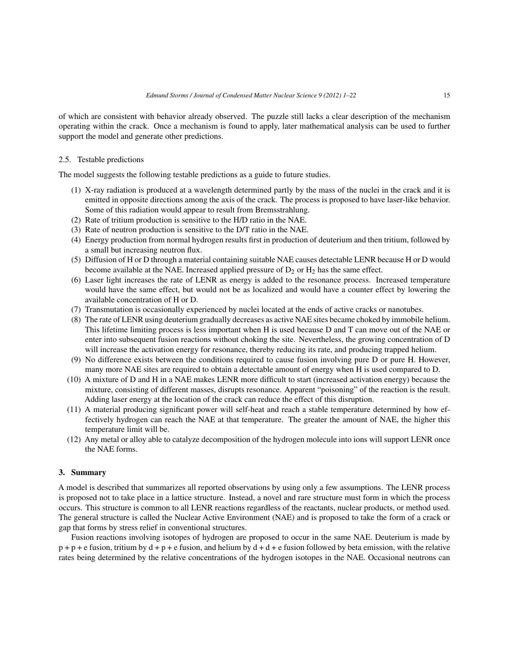of which are consistent with behavior already observed. The puzzle still lacks a clear description of the mechanism operating within the crack. Once a mechanism is found to apply, later mathematical analysis can be used to further support the model and generate other predictions.

# 2.5. Testable predictions

The model suggests the following testable predictions as a guide to future studies.

- (1) X-ray radiation is produced at a wavelength determined partly by the mass of the nuclei in the crack and it is emitted in opposite directions among the axis of the crack. The process is proposed to have laser-like behavior. Some of this radiation would appear to result from Bremsstrahlung.
- (2) Rate of tritium production is sensitive to the H/D ratio in the NAE.
- (3) Rate of neutron production is sensitive to the D/T ratio in the NAE.
- (4) Energy production from normal hydrogen results first in production of deuterium and then tritium, followed by a small but increasing neutron flux.
- (5) Diffusion of H or D through a material containing suitable NAE causes detectable LENR because H or D would become available at the NAE. Increased applied pressure of  $D_2$  or  $H_2$  has the same effect.
- (6) Laser light increases the rate of LENR as energy is added to the resonance process. Increased temperature would have the same effect, but would not be as localized and would have a counter effect by lowering the available concentration of H or D.
- (7) Transmutation is occasionally experienced by nuclei located at the ends of active cracks or nanotubes.
- (8) The rate of LENR using deuterium gradually decreases as active NAE sites became choked by immobile helium. This lifetime limiting process is less important when H is used because D and T can move out of the NAE or enter into subsequent fusion reactions without choking the site. Nevertheless, the growing concentration of D will increase the activation energy for resonance, thereby reducing its rate, and producing trapped helium.
- (9) No difference exists between the conditions required to cause fusion involving pure D or pure H. However, many more NAE sites are required to obtain a detectable amount of energy when H is used compared to D.
- (10) A mixture of D and H in a NAE makes LENR more difficult to start (increased activation energy) because the mixture, consisting of different masses, disrupts resonance. Apparent "poisoning" of the reaction is the result. Adding laser energy at the location of the crack can reduce the effect of this disruption.
- (11) A material producing significant power will self-heat and reach a stable temperature determined by how effectively hydrogen can reach the NAE at that temperature. The greater the amount of NAE, the higher this temperature limit will be.
- (12) Any metal or alloy able to catalyze decomposition of the hydrogen molecule into ions will support LENR once the NAE forms.

## **3. Summary**

A model is described that summarizes all reported observations by using only a few assumptions. The LENR process is proposed not to take place in a lattice structure. Instead, a novel and rare structure must form in which the process occurs. This structure is common to all LENR reactions regardless of the reactants, nuclear products, or method used. The general structure is called the Nuclear Active Environment (NAE) and is proposed to take the form of a crack or gap that forms by stress relief in conventional structures.

Fusion reactions involving isotopes of hydrogen are proposed to occur in the same NAE. Deuterium is made by  $p+p+e$  fusion, tritium by  $d+p+e$  fusion, and helium by  $d+d+e$  fusion followed by beta emission, with the relative rates being determined by the relative concentrations of the hydrogen isotopes in the NAE. Occasional neutrons can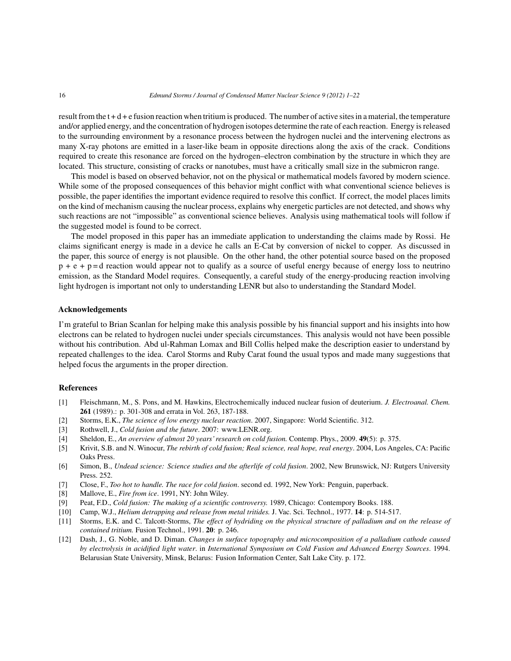result from the  $t+d+e$  fusion reaction when tritium is produced. The number of active sites in a material, the temperature and/or applied energy, and the concentration of hydrogen isotopes determine the rate of each reaction. Energy is released to the surrounding environment by a resonance process between the hydrogen nuclei and the intervening electrons as many X-ray photons are emitted in a laser-like beam in opposite directions along the axis of the crack. Conditions required to create this resonance are forced on the hydrogen–electron combination by the structure in which they are located. This structure, consisting of cracks or nanotubes, must have a critically small size in the submicron range.

This model is based on observed behavior, not on the physical or mathematical models favored by modern science. While some of the proposed consequences of this behavior might conflict with what conventional science believes is possible, the paper identifies the important evidence required to resolve this conflict. If correct, the model places limits on the kind of mechanism causing the nuclear process, explains why energetic particles are not detected, and shows why such reactions are not "impossible" as conventional science believes. Analysis using mathematical tools will follow if the suggested model is found to be correct.

The model proposed in this paper has an immediate application to understanding the claims made by Rossi. He claims significant energy is made in a device he calls an E-Cat by conversion of nickel to copper. As discussed in the paper, this source of energy is not plausible. On the other hand, the other potential source based on the proposed  $p + e + p = d$  reaction would appear not to qualify as a source of useful energy because of energy loss to neutrino emission, as the Standard Model requires. Consequently, a careful study of the energy-producing reaction involving light hydrogen is important not only to understanding LENR but also to understanding the Standard Model.

#### **Acknowledgements**

I'm grateful to Brian Scanlan for helping make this analysis possible by his financial support and his insights into how electrons can be related to hydrogen nuclei under specials circumstances. This analysis would not have been possible without his contribution. Abd ul-Rahman Lomax and Bill Collis helped make the description easier to understand by repeated challenges to the idea. Carol Storms and Ruby Carat found the usual typos and made many suggestions that helped focus the arguments in the proper direction.

#### **References**

- [1] Fleischmann, M., S. Pons, and M. Hawkins, Electrochemically induced nuclear fusion of deuterium. *J. Electroanal. Chem.* **261** (1989).: p. 301-308 and errata in Vol. 263, 187-188.
- [2] Storms, E.K., *The science of low energy nuclear reaction*. 2007, Singapore: World Scientific. 312.
- [3] Rothwell, J., *Cold fusion and the future*. 2007: www.LENR.org.
- [4] Sheldon, E., *An overview of almost 20 years' research on cold fusion.* Contemp. Phys., 2009. **49**(5): p. 375.
- [5] Krivit, S.B. and N. Winocur, *The rebirth of cold fusion; Real science, real hope, real energy*. 2004, Los Angeles, CA: Pacific Oaks Press.
- [6] Simon, B., *Undead science: Science studies and the afterlife of cold fusion*. 2002, New Brunswick, NJ: Rutgers University Press. 252.
- [7] Close, F., *Too hot to handle. The race for cold fusion*. second ed. 1992, New York: Penguin, paperback.
- [8] Mallove, E., *Fire from ice*. 1991, NY: John Wiley.
- [9] Peat, F.D., *Cold fusion: The making of a scientific controversy.* 1989, Chicago: Contempory Books. 188.
- [10] Camp, W.J., *Helium detrapping and release from metal tritides.* J. Vac. Sci. Technol., 1977. **14**: p. 514-517.
- [11] Storms, E.K. and C. Talcott-Storms, *The effect of hydriding on the physical structure of palladium and on the release of contained tritium.* Fusion Technol., 1991. **20**: p. 246.
- [12] Dash, J., G. Noble, and D. Diman. *Changes in surface topography and microcomposition of a palladium cathode caused by electrolysis in acidified light water*. in *International Symposium on Cold Fusion and Advanced Energy Sources*. 1994. Belarusian State University, Minsk, Belarus: Fusion Information Center, Salt Lake City. p. 172.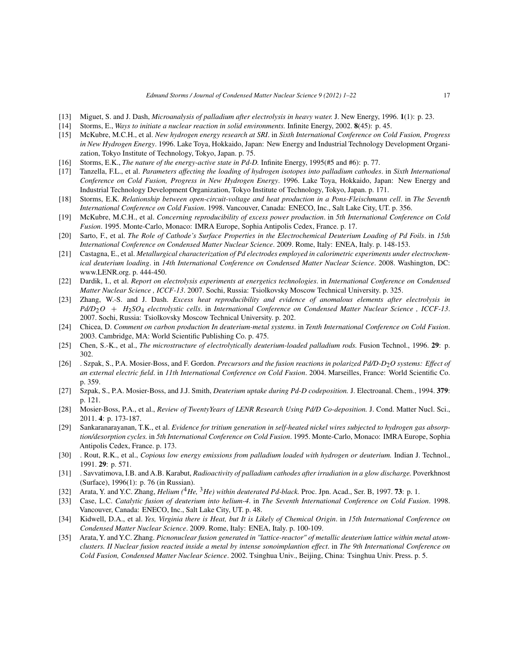- [13] Miguet, S. and J. Dash, *Microanalysis of palladium after electrolysis in heavy water.* J. New Energy, 1996. **1**(1): p. 23.
- [14] Storms, E., *Ways to initiate a nuclear reaction in solid environments.* Infinite Energy, 2002. **8**(45): p. 45.
- [15] McKubre, M.C.H., et al. *New hydrogen energy research at SRI*. in *Sixth International Conference on Cold Fusion, Progress in New Hydrogen Energy*. 1996. Lake Toya, Hokkaido, Japan: New Energy and Industrial Technology Development Organization, Tokyo Institute of Technology, Tokyo, Japan. p. 75.
- [16] Storms, E.K., *The nature of the energy-active state in Pd-D.* Infinite Energy, 1995(#5 and #6): p. 77.
- [17] Tanzella, F.L., et al. *Parameters affecting the loading of hydrogen isotopes into palladium cathodes*. in *Sixth International Conference on Cold Fusion, Progress in New Hydrogen Energy*. 1996. Lake Toya, Hokkaido, Japan: New Energy and Industrial Technology Development Organization, Tokyo Institute of Technology, Tokyo, Japan. p. 171.
- [18] Storms, E.K. *Relationship between open-circuit-voltage and heat production in a Pons-Fleischmann cell*. in *The Seventh International Conference on Cold Fusion*. 1998. Vancouver, Canada: ENECO, Inc., Salt Lake City, UT. p. 356.
- [19] McKubre, M.C.H., et al. *Concerning reproducibility of excess power production*. in *5th International Conference on Cold Fusion*. 1995. Monte-Carlo, Monaco: IMRA Europe, Sophia Antipolis Cedex, France. p. 17.
- [20] Sarto, F., et al. *The Role of Cathode's Surface Properties in the Electrochemical Deuterium Loading of Pd Foils*. in *15th International Conference on Condensed Matter Nuclear Science*. 2009. Rome, Italy: ENEA, Italy. p. 148-153.
- [21] Castagna, E., et al. *Metallurgical characterization of Pd electrodes employed in calorimetric experiments under electrochemical deuterium loading*. in *14th International Conference on Condensed Matter Nuclear Science*. 2008. Washington, DC: www.LENR.org. p. 444-450.
- [22] Dardik, I., et al. *Report on electrolysis experiments at energetics technologies*. in *International Conference on Condensed Matter Nuclear Science , ICCF-13*. 2007. Sochi, Russia: Tsiolkovsky Moscow Technical University. p. 325.
- [23] Zhang, W.-S. and J. Dash. *Excess heat reproducibility and evidence of anomalous elements after electrolysis in Pd/D*2O + H2*SO*<sup>4</sup> *electrolystic cells*. in *International Conference on Condensed Matter Nuclear Science , ICCF-13*. 2007. Sochi, Russia: Tsiolkovsky Moscow Technical University. p. 202.
- [24] Chicea, D. *Comment on carbon production In deuterium-metal systems*. in *Tenth International Conference on Cold Fusion*. 2003. Cambridge, MA: World Scientific Publishing Co. p. 475.
- [25] Chen, S.-K., et al., *The microstructure of electrolytically deuterium-loaded palladium rods.* Fusion Technol., 1996. **29**: p. 302.
- [26] . Szpak, S., P.A. Mosier-Boss, and F. Gordon. *Precursors and the fusion reactions in polarized Pd/D-D*2*O systems: Effect of an external electric field*. in *11th International Conference on Cold Fusion*. 2004. Marseilles, France: World Scientific Co. p. 359.
- [27] Szpak, S., P.A. Mosier-Boss, and J.J. Smith, *Deuterium uptake during Pd-D codeposition.* J. Electroanal. Chem., 1994. **379**: p. 121.
- [28] Mosier-Boss, P.A., et al., *Review of TwentyYears of LENR Research Using Pd/D Co-deposition.* J. Cond. Matter Nucl. Sci., 2011. **4**: p. 173-187.
- [29] Sankaranarayanan, T.K., et al. *Evidence for tritium generation in self-heated nickel wires subjected to hydrogen gas absorption/desorption cycles.* in *5th International Conference on Cold Fusion*. 1995. Monte-Carlo, Monaco: IMRA Europe, Sophia Antipolis Cedex, France. p. 173.
- [30] . Rout, R.K., et al., *Copious low energy emissions from palladium loaded with hydrogen or deuterium.* Indian J. Technol., 1991. **29**: p. 571.
- [31] . Savvatimova, I.B. and A.B. Karabut, *Radioactivity of palladium cathodes after irradiation in a glow discharge.* Poverkhnost (Surface), 1996(1): p. 76 (in Russian).
- [32] Arata, Y. and Y.C. Zhang, *Helium (*4*He,* <sup>3</sup>*He) within deuterated Pd-black.* Proc. Jpn. Acad., Ser. B, 1997. **73**: p. 1.
- [33] Case, L.C. *Catalytic fusion of deuterium into helium-4*. in *The Seventh International Conference on Cold Fusion*. 1998. Vancouver, Canada: ENECO, Inc., Salt Lake City, UT. p. 48.
- [34] Kidwell, D.A., et al. *Yes, Virginia there is Heat, but It is Likely of Chemical Origin*. in *15th International Conference on Condensed Matter Nuclear Science*. 2009. Rome, Italy: ENEA, Italy. p. 100-109.
- [35] Arata, Y. and Y.C. Zhang. *Picnonuclear fusion generated in "lattice-reactor" of metallic deuterium lattice within metal atomclusters. II Nuclear fusion reacted inside a metal by intense sonoimplantion effect*. in *The 9th International Conference on Cold Fusion, Condensed Matter Nuclear Science*. 2002. Tsinghua Univ., Beijing, China: Tsinghua Univ. Press. p. 5.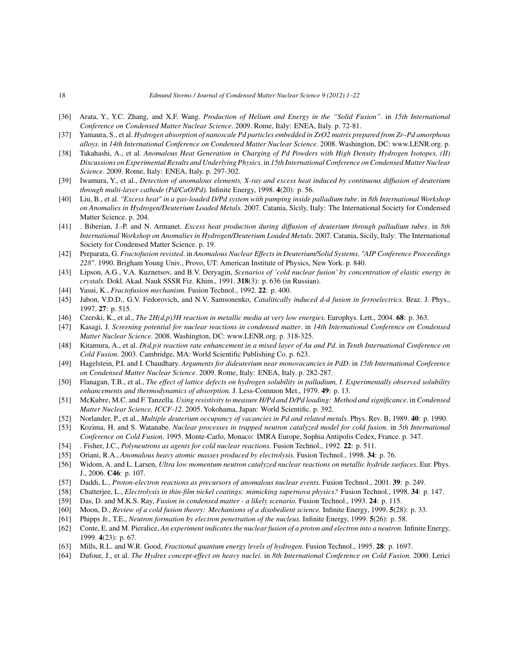- [36] Arata, Y., Y.C. Zhang, and X.F. Wang. *Production of Helium and Energy in the "Solid Fusion"*. in *15th International Conference on Condensed Matter Nuclear Science*. 2009. Rome, Italy: ENEA, Italy. p. 72-81.
- [37] Yamaura, S., et al. *Hydrogen absorption of nanoscale Pd particles embedded in ZrO2 matrix prepared from Zr–Pd amorphous alloys*. in *14th International Conference on Condensed Matter Nuclear Science*. 2008. Washington, DC: www.LENR.org. p.
- [38] Takahashi, A., et al. *Anomalous Heat Generation in Charging of Pd Powders with High Density Hydrogen Isotopes, (II) Discussions on Experimental Results and Underlying Physics*. in *15th International Conference on Condensed Matter Nuclear Science*. 2009. Rome, Italy: ENEA, Italy. p. 297-302.
- [39] Iwamura, Y., et al., *Detection of anomalous elements, X-ray and excess heat induced by continuous diffusion of deuterium through multi-layer cathode (Pd/CaO/Pd).* Infinite Energy, 1998. **4**(20): p. 56.
- [40] Liu, B., et al. *"Excess heat" in a gas-loaded D/Pd system with pumping inside palladium tube*. in *8th International Workshop on Anomalies in Hydrogen/Deuterium Loaded Metals*. 2007. Catania, Sicily, Italy: The International Society for Condensed Matter Science. p. 204.
- [41] . Biberian, J.-P. and N. Armanet. *Excess heat production during diffusion of deuterium through palladium tubes*. in *8th International Workshop on Anomalies in Hydrogen/Deuterium Loaded Metals*. 2007. Catania, Sicily, Italy: The International Society for Condensed Matter Science. p. 19.
- [42] Preparata, G. *Fractofusion revisted*. in *Anomalous Nuclear Effects in Deuterium/Solid Systems, "AIP Conference Proceedings 228"*. 1990. Brigham Young Univ., Provo, UT: American Institute of Physics, New York. p. 840.
- [43] Lipson, A.G., V.A. Kuznetsov, and B.V. Deryagin, *Scenarios of 'cold nuclear fusion' by concentration of elastic energy in crystals.* Dokl. Akad. Nauk SSSR Fiz. Khim., 1991. **318**(3): p. 636 (in Russian).
- [44] Yasui, K., *Fractofusion mechanism.* Fusion Technol., 1992. **22**: p. 400.
- [45] Jabon, V.D.D., G.V. Fedorovich, and N.V. Samsonenko, *Catalitically induced d-d fusion in ferroelectrics.* Braz. J. Phys., 1997. **27**: p. 515.
- [46] Czerski, K., et al., *The 2H(d,p)3H reaction in metallic media at very low energies.* Europhys. Lett., 2004. **68**: p. 363.
- [47] Kasagi, J. *Screening potential for nuclear reactions in condensed matter*. in *14th International Conference on Condensed Matter Nuclear Science*. 2008. Washington, DC: www.LENR.org. p. 318-325.
- [48] Kitamura, A., et al. *D(d,p)t reaction rate enhancement in a mixed layer of Au and Pd*. in *Tenth International Conference on Cold Fusion*. 2003. Cambridge, MA: World Scientific Publishing Co. p. 623.
- [49] Hagelstein, P.I. and I. Chaudhary. *Arguments for dideuterium near monovacancies in PdD*. in *15th International Conference on Condensed Matter Nuclear Science*. 2009. Rome, Italy: ENEA, Italy. p. 282-287.
- [50] Flanagan, T.B., et al., *The effect of lattice defects on hydrogen solubility in palladium, I. Experimentally observed solubility enhancements and thermodynamics of absorption.* J. Less-Common Met., 1979. **49**: p. 13.
- [51] McKubre, M.C. and F. Tanzella. *Using resistivity to measure H/Pd and D/Pd loading: Method and significance*. in *Condensed Matter Nuclear Science, ICCF-12*. 2005. Yokohama, Japan: World Scientific. p. 392.
- [52] Norlander, P., et al., *Multiple deuterium occupancy of vacancies in Pd and related metals.* Phys. Rev. B, 1989. **40**: p. 1990.
- [53] Kozima, H. and S. Watanabe. *Nuclear processes in trapped neutron catalyzed model for cold fusion*. in *5th International Conference on Cold Fusion*. 1995. Monte-Carlo, Monaco: IMRA Europe, Sophia Antipolis Cedex, France. p. 347.
- [54] . Fisher, J.C., *Polyneutrons as agents for cold nuclear reactions.* Fusion Technol., 1992. **22**: p. 511.
- [55] Oriani, R.A., *Anomalous heavy atomic masses produced by electrolysis.* Fusion Technol., 1998. **34**: p. 76.
- [56] Widom, A. and L. Larsen, *Ultra low momentum neutron catalyzed nuclear reactions on metallic hydride surfaces.* Eur. Phys. J., 2006. **C46**: p. 107.
- [57] Daddi, L., *Proton-electron reactions as precursors of anomalous nuclear events.* Fusion Technol., 2001. **39**: p. 249.
- [58] Chatterjee, L., *Electrolysis in thin-film nickel coatings: mimicking supernova physics?* Fusion Technol., 1998. **34**: p. 147.
- [59] Das, D. and M.K.S. Ray, *Fusion in condensed matter a likely scenario.* Fusion Technol., 1993. **24**: p. 115.
- [60] Moon, D., *Review of a cold fusion theory: Mechanisms of a disobedient science.* Infinite Energy, 1999. **5**(28): p. 33.
- [61] Phipps Jr., T.E., *Neutron formation by electron penetration of the nucleus.* Infinite Energy, 1999. **5**(26): p. 58.
- [62] Conte, E. and M. Pieralice, *An experiment indicates the nuclear fusion of a proton and electron into a neutron.* Infinite Energy, 1999. **4**(23): p. 67.
- [63] Mills, R.L. and W.R. Good, *Fractional quantum energy levels of hydrogen.* Fusion Technol., 1995. **28**: p. 1697.
- [64] Dufour, J., et al. *The Hydrex concept-effect on heavy nuclei*. in *8th International Conference on Cold Fusion*. 2000. Lerici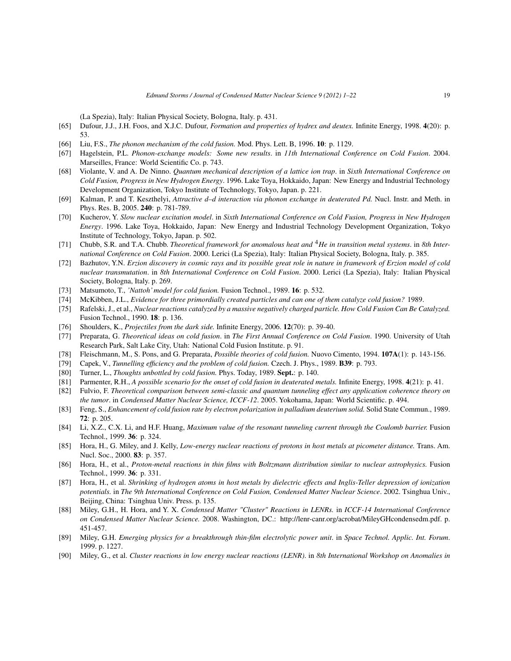(La Spezia), Italy: Italian Physical Society, Bologna, Italy. p. 431.

- [65] Dufour, J.J., J.H. Foos, and X.J.C. Dufour, *Formation and properties of hydrex and deutex.* Infinite Energy, 1998. **4**(20): p. 53.
- [66] Liu, F.S., *The phonon mechanism of the cold fusion.* Mod. Phys. Lett. B, 1996. **10**: p. 1129.
- [67] Hagelstein, P.L. *Phonon-exchange models: Some new results*. in *11th International Conference on Cold Fusion*. 2004. Marseilles, France: World Scientific Co. p. 743.
- [68] Violante, V. and A. De Ninno. *Quantum mechanical description of a lattice ion trap*. in *Sixth International Conference on Cold Fusion, Progress in New Hydrogen Energy*. 1996. Lake Toya, Hokkaido, Japan: New Energy and Industrial Technology Development Organization, Tokyo Institute of Technology, Tokyo, Japan. p. 221.
- [69] Kalman, P. and T. Keszthelyi, *Attractive d–d interaction via phonon exchange in deuterated Pd.* Nucl. Instr. and Meth. in Phys. Res. B, 2005. **240**: p. 781-789.
- [70] Kucherov, Y. *Slow nuclear excitation model*. in *Sixth International Conference on Cold Fusion, Progress in New Hydrogen Energy*. 1996. Lake Toya, Hokkaido, Japan: New Energy and Industrial Technology Development Organization, Tokyo Institute of Technology, Tokyo, Japan. p. 502.
- [71] Chubb, S.R. and T.A. Chubb. *Theoretical framework for anomalous heat and* <sup>4</sup>*He in transition metal systems*. in *8th International Conference on Cold Fusion*. 2000. Lerici (La Spezia), Italy: Italian Physical Society, Bologna, Italy. p. 385.
- [72] Bazhutov, Y.N. *Erzion discovery in cosmic rays and its possible great role in nature in framework of Erzion model of cold nuclear transmutation*. in *8th International Conference on Cold Fusion*. 2000. Lerici (La Spezia), Italy: Italian Physical Society, Bologna, Italy. p. 269.
- [73] Matsumoto, T., *'Nattoh' model for cold fusion.* Fusion Technol., 1989. **16**: p. 532.
- [74] McKibben, J.L., *Evidence for three primordially created particles and can one of them catalyze cold fusion?* 1989.
- [75] Rafelski, J., et al., *Nuclear reactions catalyzed by a massive negatively charged particle. How Cold Fusion Can Be Catalyzed.* Fusion Technol., 1990. **18**: p. 136.
- [76] Shoulders, K., *Projectiles from the dark side.* Infinite Energy, 2006. **12**(70): p. 39-40.
- [77] Preparata, G. *Theoretical ideas on cold fusion*. in *The First Annual Conference on Cold Fusion*. 1990. University of Utah Research Park, Salt Lake City, Utah: National Cold Fusion Institute. p. 91.
- [78] Fleischmann, M., S. Pons, and G. Preparata, *Possible theories of cold fusion.* Nuovo Cimento, 1994. **107A**(1): p. 143-156.
- [79] Capek, V., *Tunnelling efficiency and the problem of cold fusion.* Czech. J. Phys., 1989. **B39**: p. 793.
- [80] Turner, L., *Thoughts unbottled by cold fusion.* Phys. Today, 1989. **Sept.**: p. 140.
- [81] Parmenter, R.H., *A possible scenario for the onset of cold fusion in deuterated metals.* Infinite Energy, 1998. **4**(21): p. 41.
- [82] Fulvio, F. *Theoretical comparison between semi-classic and quantum tunneling effect any application coherence theory on the tumor*. in *Condensed Matter Nuclear Science, ICCF-12*. 2005. Yokohama, Japan: World Scientific. p. 494.
- [83] Feng, S., *Enhancement of cold fusion rate by electron polarization in palladium deuterium solid.* Solid State Commun., 1989. **72**: p. 205.
- [84] Li, X.Z., C.X. Li, and H.F. Huang, *Maximum value of the resonant tunneling current through the Coulomb barrier.* Fusion Technol., 1999. **36**: p. 324.
- [85] Hora, H., G. Miley, and J. Kelly, *Low-energy nuclear reactions of protons in host metals at picometer distance.* Trans. Am. Nucl. Soc., 2000. **83**: p. 357.
- [86] Hora, H., et al., *Proton-metal reactions in thin films with Boltzmann distribution similar to nuclear astrophysics.* Fusion Technol., 1999. **36**: p. 331.
- [87] Hora, H., et al. *Shrinking of hydrogen atoms in host metals by dielectric effects and Inglis-Teller depression of ionization potentials.* in *The 9th International Conference on Cold Fusion, Condensed Matter Nuclear Science*. 2002. Tsinghua Univ., Beijing, China: Tsinghua Univ. Press. p. 135.
- [88] Miley, G.H., H. Hora, and Y. X. *Condensed Matter "Cluster" Reactions in LENRs.* in *ICCF-14 International Conference on Condensed Matter Nuclear Science.* 2008. Washington, DC.: http://lenr-canr.org/acrobat/MileyGHcondensedm.pdf. p. 451-457.
- [89] Miley, G.H. *Emerging physics for a breakthrough thin-film electrolytic power unit*. in *Space Technol. Applic. Int. Forum*. 1999. p. 1227.
- [90] Miley, G., et al. *Cluster reactions in low energy nuclear reactions (LENR)*. in *8th International Workshop on Anomalies in*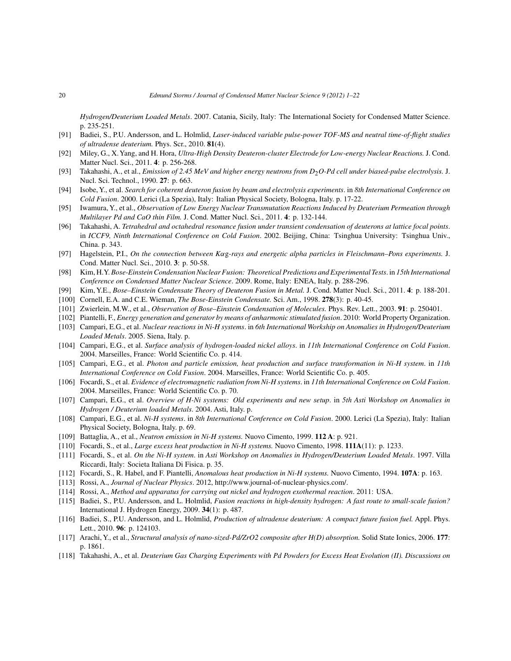*Hydrogen/Deuterium Loaded Metals*. 2007. Catania, Sicily, Italy: The International Society for Condensed Matter Science. p. 235-251.

- [91] Badiei, S., P.U. Andersson, and L. Holmlid, *Laser-induced variable pulse-power TOF-MS and neutral time-of-flight studies of ultradense deuterium.* Phys. Scr., 2010. **81**(4).
- [92] Miley, G., X.Yang, and H. Hora, *Ultra-High Density Deuteron-cluster Electrode for Low-energy Nuclear Reactions.* J. Cond. Matter Nucl. Sci., 2011. **4**: p. 256-268.
- [93] Takahashi, A., et al., *Emission of 2.45 MeV and higher energy neutrons from D<sub>2</sub>O-Pd cell under biased-pulse electrolysis. J.* Nucl. Sci. Technol., 1990. **27**: p. 663.
- [94] Isobe, Y., et al. *Search for coherent deuteron fusion by beam and electrolysis experiments*. in *8th International Conference on Cold Fusion*. 2000. Lerici (La Spezia), Italy: Italian Physical Society, Bologna, Italy. p. 17-22.
- [95] Iwamura, Y., et al., *Observation of Low Energy Nuclear Transmutation Reactions Induced by Deuterium Permeation through Multilayer Pd and CaO thin Film.* J. Cond. Matter Nucl. Sci., 2011. **4**: p. 132-144.
- [96] Takahashi, A. *Tetrahedral and octahedral resonance fusion under transient condensation of deuterons at lattice focal points*. in *ICCF9, Ninth International Conference on Cold Fusion*. 2002. Beijing, China: Tsinghua University: Tsinghua Univ., China. p. 343.
- [97] Hagelstein, P.I., *On the connection between K*αg*-rays and energetic alpha particles in Fleischmann–Pons experiments.* J. Cond. Matter Nucl. Sci., 2010. **3**: p. 50-58.
- [98] Kim, H.Y.*Bose-Einstein Condensation Nuclear Fusion: Theoretical Predictions and Experimental Tests*. in *15th International Conference on Condensed Matter Nuclear Science*. 2009. Rome, Italy: ENEA, Italy. p. 288-296.
- [99] Kim, Y.E., *Bose–Einstein Condensate Theory of Deuteron Fusion in Metal.* J. Cond. Matter Nucl. Sci., 2011. **4**: p. 188-201.
- [100] Cornell, E.A. and C.E. Wieman, *The Bose-Einstein Condensate.* Sci. Am., 1998. **278**(3): p. 40-45.
- [101] Zwierlein, M.W., et al., *Observation of Bose–Einstein Condensation of Molecules.* Phys. Rev. Lett., 2003. **91**: p. 250401.
- [102] Piantelli, F., *Energy generation and generator by means of anharmonic stimulated fusion*. 2010: World Property Organization.
- [103] Campari, E.G., et al. *Nuclear reactions in Ni-H systems*. in *6th International Workship on Anomalies in Hydrogen/Deuterium Loaded Metals*. 2005. Siena, Italy. p.
- [104] Campari, E.G., et al. *Surface analysis of hydrogen-loaded nickel alloys*. in *11th International Conference on Cold Fusion*. 2004. Marseilles, France: World Scientific Co. p. 414.
- [105] Campari, E.G., et al. *Photon and particle emission, heat production and surface transformation in Ni-H system*. in *11th International Conference on Cold Fusion*. 2004. Marseilles, France: World Scientific Co. p. 405.
- [106] Focardi, S., et al. *Evidence of electromagnetic radiation from Ni-H systems*. in *11th International Conference on Cold Fusion*. 2004. Marseilles, France: World Scientific Co. p. 70.
- [107] Campari, E.G., et al. *Overview of H-Ni systems: Old experiments and new setup*. in *5th Asti Workshop on Anomalies in Hydrogen / Deuterium loaded Metals*. 2004. Asti, Italy. p.
- [108] Campari, E.G., et al. *Ni-H systems*. in *8th International Conference on Cold Fusion*. 2000. Lerici (La Spezia), Italy: Italian Physical Society, Bologna, Italy. p. 69.
- [109] Battaglia, A., et al., *Neutron emission in Ni-H systems.* Nuovo Cimento, 1999. **112 A**: p. 921.
- [110] Focardi, S., et al., *Large excess heat production in Ni-H systems.* Nuovo Cimento, 1998. **111A**(11): p. 1233.
- [111] Focardi, S., et al. *On the Ni-H system*. in *Asti Workshop on Anomalies in Hydrogen/Deuterium Loaded Metals*. 1997. Villa Riccardi, Italy: Societa Italiana Di Fisica. p. 35.
- [112] Focardi, S., R. Habel, and F. Piantelli, *Anomalous heat production in Ni-H systems.* Nuovo Cimento, 1994. **107A**: p. 163.
- [113] Rossi, A., *Journal of Nuclear Physics*. 2012, http://www.journal-of-nuclear-physics.com/.
- [114] Rossi, A., *Method and apparatus for carrying out nickel and hydrogen exothermal reaction*. 2011: USA.
- [115] Badiei, S., P.U. Andersson, and L. Holmlid, *Fusion reactions in high-density hydrogen: A fast route to small-scale fusion?* International J. Hydrogen Energy, 2009. **34**(1): p. 487.
- [116] Badiei, S., P.U. Andersson, and L. Holmlid, *Production of ultradense deuterium: A compact future fusion fuel.* Appl. Phys. Lett., 2010. **96**: p. 124103.
- [117] Arachi, Y., et al., *Structural analysis of nano-sized-Pd/ZrO2 composite after H(D) absorption.* Solid State Ionics, 2006. **177**: p. 1861.
- [118] Takahashi, A., et al. *Deuterium Gas Charging Experiments with Pd Powders for Excess Heat Evolution (II). Discussions on*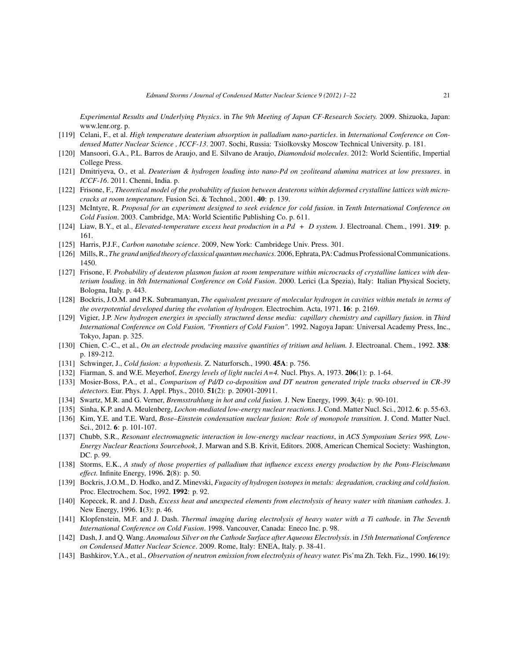*Experimental Results and Underlying Physics*. in *The 9th Meeting of Japan CF-Research Society.* 2009. Shizuoka, Japan: www.lenr.org. p.

- [119] Celani, F., et al. *High temperature deuterium absorption in palladium nano-particles*. in *International Conference on Condensed Matter Nuclear Science , ICCF-13*. 2007. Sochi, Russia: Tsiolkovsky Moscow Technical University. p. 181.
- [120] Mansoori, G.A., P.L. Barros de Araujo, and E. Silvano de Araujo, *Diamondoid molecules*. 2012: World Scientific, Impertial College Press.
- [121] Dmitriyeva, O., et al. *Deuterium & hydrogen loading into nano-Pd on zeoliteand alumina matrices at low pressures*. in *ICCF-16*. 2011. Chenni, India. p.
- [122] Frisone, F., *Theoretical model of the probability of fusion between deuterons within deformed crystalline lattices with microcracks at room temperature.* Fusion Sci. & Technol., 2001. **40**: p. 139.
- [123] McIntyre, R. *Proposal for an experiment designed to seek evidence for cold fusion*. in *Tenth International Conference on Cold Fusion*. 2003. Cambridge, MA: World Scientific Publishing Co. p. 611.
- [124] Liaw, B.Y., et al., *Elevated-temperature excess heat production in a Pd + D system.* J. Electroanal. Chem., 1991. **319**: p. 161.
- [125] Harris, P.J.F., *Carbon nanotube science*. 2009, New York: Cambridege Univ. Press. 301.
- [126] Mills, R., *The grand unified theory of classical quantum mechanics*. 2006, Ephrata, PA: Cadmus Professional Communications. 1450.
- [127] Frisone, F. *Probability of deuteron plasmon fusion at room temperature within microcracks of crystalline lattices with deuterium loading*. in *8th International Conference on Cold Fusion*. 2000. Lerici (La Spezia), Italy: Italian Physical Society, Bologna, Italy. p. 443.
- [128] Bockris, J.O.M. and P.K. Subramanyan, *The equivalent pressure of molecular hydrogen in cavities within metals in terms of the overpotential developed during the evolution of hydrogen.* Electrochim. Acta, 1971. **16**: p. 2169.
- [129] Vigier, J.P. *New hydrogen energies in specially structured dense media: capillary chemistry and capillary fusion*. in *Third International Conference on Cold Fusion, "Frontiers of Cold Fusion"*. 1992. Nagoya Japan: Universal Academy Press, Inc., Tokyo, Japan. p. 325.
- [130] Chien, C.-C., et al., *On an electrode producing massive quantities of tritium and helium.* J. Electroanal. Chem., 1992. **338**: p. 189-212.
- [131] Schwinger, J., *Cold fusion: a hypothesis.* Z. Naturforsch., 1990. **45A**: p. 756.
- [132] Fiarman, S. and W.E. Meyerhof, *Energy levels of light nuclei A=4.* Nucl. Phys. A, 1973. **206**(1): p. 1-64.
- [133] Mosier-Boss, P.A., et al., *Comparison of Pd/D co-deposition and DT neutron generated triple tracks observed in CR-39 detectors.* Eur. Phys. J. Appl. Phys., 2010. **51**(2): p. 20901-20911.
- [134] Swartz, M.R. and G. Verner, *Bremsstrahlung in hot and cold fusion.* J. New Energy, 1999. **3**(4): p. 90-101.
- [135] Sinha, K.P. and A. Meulenberg, *Lochon-mediated low-energy nuclear reactions.*J. Cond. Matter Nucl. Sci., 2012. **6**: p. 55-63.
- [136] Kim, Y.E. and T.E. Ward, *Bose–Einstein condensation nuclear fusion: Role of monopole transition.* J. Cond. Matter Nucl. Sci., 2012. **6**: p. 101-107.
- [137] Chubb, S.R., *Resonant electromagnetic interaction in low-energy nuclear reactions*, in *ACS Symposium Series 998, Low-Energy Nuclear Reactions Sourcebook*, J. Marwan and S.B. Krivit, Editors. 2008, American Chemical Society: Washington, DC. p. 99.
- [138] Storms, E.K., *A study of those properties of palladium that influence excess energy production by the Pons-Fleischmann effect.* Infinite Energy, 1996. **2**(8): p. 50.
- [139] Bockris, J.O.M., D. Hodko, and Z. Minevski, *Fugacity of hydrogen isotopes in metals: degradation, cracking and cold fusion.* Proc. Electrochem. Soc, 1992. **1992**: p. 92.
- [140] Kopecek, R. and J. Dash, *Excess heat and unexpected elements from electrolysis of heavy water with titanium cathodes.* J. New Energy, 1996. **1**(3): p. 46.
- [141] Klopfenstein, M.F. and J. Dash. *Thermal imaging during electrolysis of heavy water with a Ti cathode*. in *The Seventh International Conference on Cold Fusion*. 1998. Vancouver, Canada: Eneco Inc. p. 98.
- [142] Dash, J. and Q. Wang. *Anomalous Silver on the Cathode Surface after Aqueous Electrolysis*. in *15th International Conference on Condensed Matter Nuclear Science*. 2009. Rome, Italy: ENEA, Italy. p. 38-41.
- [143] Bashkirov, Y.A., et al., *Observation of neutron emission from electrolysis of heavy water.* Pis'ma Zh. Tekh. Fiz., 1990. **16**(19):